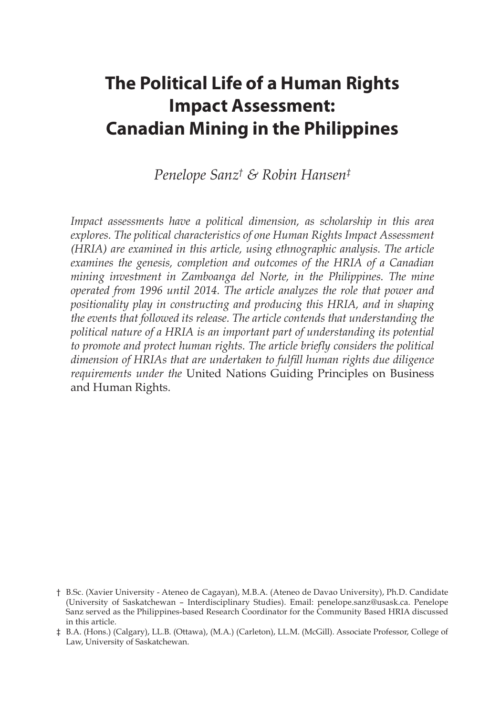# **The Political Life of a Human Rights Impact Assessment: Canadian Mining in the Philippines**

*Penelope Sanz† & Robin Hansen‡*

*Impact assessments have a political dimension, as scholarship in this area explores. The political characteristics of one Human Rights Impact Assessment (HRIA) are examined in this article, using ethnographic analysis. The article examines the genesis, completion and outcomes of the HRIA of a Canadian mining investment in Zamboanga del Norte, in the Philippines. The mine operated from 1996 until 2014. The article analyzes the role that power and positionality play in constructing and producing this HRIA, and in shaping the events that followed its release. The article contends that understanding the political nature of a HRIA is an important part of understanding its potential to promote and protect human rights. The article briefly considers the political dimension of HRIAs that are undertaken to fulfill human rights due diligence requirements under the* United Nations Guiding Principles on Business and Human Rights.

<sup>†</sup> B.Sc. (Xavier University - Ateneo de Cagayan), M.B.A. (Ateneo de Davao University), Ph.D. Candidate (University of Saskatchewan – Interdisciplinary Studies). Email: penelope.sanz@usask.ca. Penelope Sanz served as the Philippines-based Research Coordinator for the Community Based HRIA discussed in this article.

<sup>‡</sup> B.A. (Hons.) (Calgary), LL.B. (Ottawa), (M.A.) (Carleton), LL.M. (McGill). Associate Professor, College of Law, University of Saskatchewan.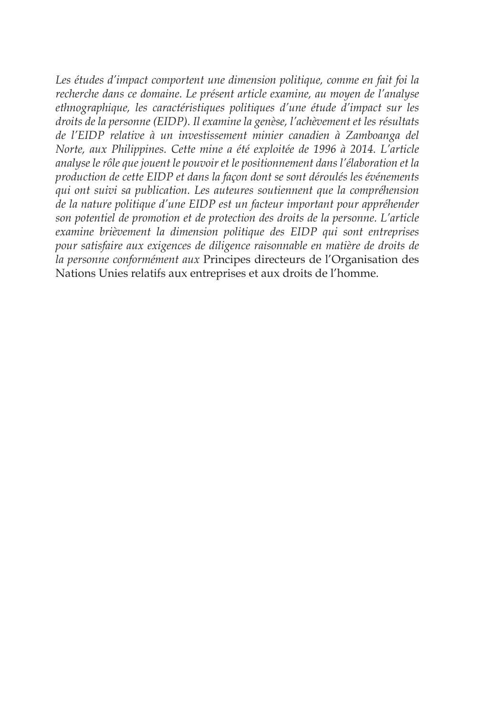Les études d'impact comportent une dimension politique, comme en fait foi la *recherche dans ce domaine. Le présent article examine, au moyen de l'analyse ethnographique, les caractéristiques politiques d'une étude d'impact sur les droits de la personne (EIDP). Il examine la genèse, l'achèvement et les résultats de l'EIDP relative à un investissement minier canadien à Zamboanga del Norte, aux Philippines. Cette mine a été exploitée de 1996 à 2014. L'article analyse le rôle que jouent le pouvoir et le positionnement dans l'élaboration et la production de cette EIDP et dans la façon dont se sont déroulés les événements qui ont suivi sa publication. Les auteures soutiennent que la compréhension de la nature politique d'une EIDP est un facteur important pour appréhender son potentiel de promotion et de protection des droits de la personne. L'article examine brièvement la dimension politique des EIDP qui sont entreprises pour satisfaire aux exigences de diligence raisonnable en matière de droits de la personne conformément aux* Principes directeurs de l'Organisation des Nations Unies relatifs aux entreprises et aux droits de l'homme.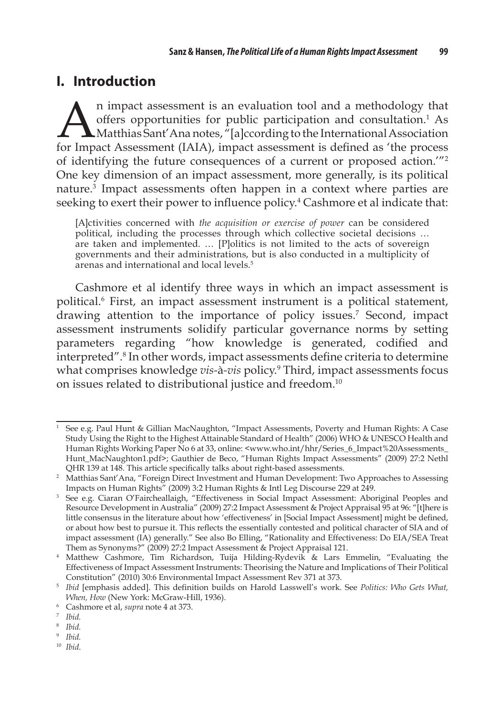## **I. Introduction**

An impact assessment is an evaluation tool and a methodology that<br>offers opportunities for public participation and consultation.<sup>1</sup> As<br>for Impact Assessment (IAIA) impact assessment is defined as 'the process offers opportunities for public participation and consultation.<sup>1</sup> As Matthias Sant'Ana notes, "[a]ccording to the International Association for Impact Assessment (IAIA), impact assessment is defined as 'the process of identifying the future consequences of a current or proposed action.'"2 One key dimension of an impact assessment, more generally, is its political nature.3 Impact assessments often happen in a context where parties are seeking to exert their power to influence policy.<sup>4</sup> Cashmore et al indicate that:

[A]ctivities concerned with *the acquisition or exercise of power* can be considered political, including the processes through which collective societal decisions … are taken and implemented. … [P]olitics is not limited to the acts of sovereign governments and their administrations, but is also conducted in a multiplicity of arenas and international and local levels.<sup>5</sup>

Cashmore et al identify three ways in which an impact assessment is political.6 First, an impact assessment instrument is a political statement, drawing attention to the importance of policy issues.<sup>7</sup> Second, impact assessment instruments solidify particular governance norms by setting parameters regarding "how knowledge is generated, codified and interpreted".8 In other words, impact assessments define criteria to determine what comprises knowledge *vis-*à*-vis* policy.9 Third, impact assessments focus on issues related to distributional justice and freedom.<sup>10</sup>

<sup>&</sup>lt;sup>1</sup> See e.g. Paul Hunt & Gillian MacNaughton, "Impact Assessments, Poverty and Human Rights: A Case Study Using the Right to the Highest Attainable Standard of Health" (2006) WHO & UNESCO Health and Human Rights Working Paper No 6 at 33, online: <www.who.int/hhr/Series\_6\_Impact%20Assessments\_ Hunt\_MacNaughton1.pdf>; Gauthier de Beco, "Human Rights Impact Assessments" (2009) 27:2 Nethl QHR 139 at 148. This article specifically talks about right-based assessments.

<sup>2</sup> Matthias Sant'Ana, "Foreign Direct Investment and Human Development: Two Approaches to Assessing Impacts on Human Rights" (2009) 3:2 Human Rights & Intl Leg Discourse 229 at 249.

<sup>3</sup> See e.g. Ciaran O'Faircheallaigh, "Effectiveness in Social Impact Assessment: Aboriginal Peoples and Resource Development in Australia" (2009) 27:2 Impact Assessment & Project Appraisal 95 at 96: "[t]here is little consensus in the literature about how 'effectiveness' in [Social Impact Assessment] might be defined, or about how best to pursue it. This reflects the essentially contested and political character of SIA and of impact assessment (IA) generally." See also Bo Elling, "Rationality and Effectiveness: Do EIA/SEA Treat Them as Synonyms?" (2009) 27:2 Impact Assessment & Project Appraisal 121.

<sup>4</sup> Matthew Cashmore, Tim Richardson, Tuija Hilding-Rydevik & Lars Emmelin, "Evaluating the Effectiveness of Impact Assessment Instruments: Theorising the Nature and Implications of Their Political Constitution" (2010) 30:6 Environmental Impact Assessment Rev 371 at 373.

<sup>5</sup>*Ibid* [emphasis added]. This definition builds on Harold Lasswell's work. See *Politics: Who Gets What, When, How* (New York: McGraw-Hill, 1936).

<sup>6</sup> Cashmore et al, *supra* note 4 at 373. 7 *Ibid.*

<sup>8</sup> *Ibid.*

<sup>9</sup>*Ibid.*

<sup>10</sup> *Ibid*.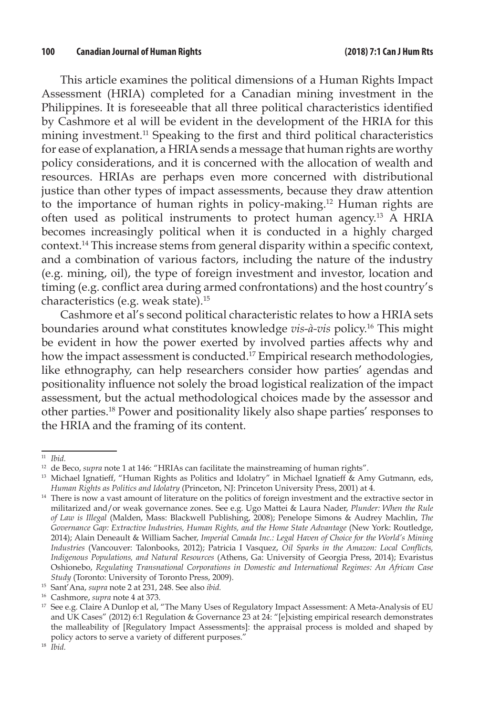This article examines the political dimensions of a Human Rights Impact Assessment (HRIA) completed for a Canadian mining investment in the Philippines. It is foreseeable that all three political characteristics identified by Cashmore et al will be evident in the development of the HRIA for this mining investment.<sup>11</sup> Speaking to the first and third political characteristics for ease of explanation, a HRIA sends a message that human rights are worthy policy considerations, and it is concerned with the allocation of wealth and resources. HRIAs are perhaps even more concerned with distributional justice than other types of impact assessments, because they draw attention to the importance of human rights in policy-making.12 Human rights are often used as political instruments to protect human agency.13 A HRIA becomes increasingly political when it is conducted in a highly charged context.14 This increase stems from general disparity within a specific context, and a combination of various factors, including the nature of the industry (e.g. mining, oil), the type of foreign investment and investor, location and timing (e.g. conflict area during armed confrontations) and the host country's characteristics (e.g. weak state).15

Cashmore et al's second political characteristic relates to how a HRIA sets boundaries around what constitutes knowledge *vis-à-vis* policy.16 This might be evident in how the power exerted by involved parties affects why and how the impact assessment is conducted.17 Empirical research methodologies, like ethnography, can help researchers consider how parties' agendas and positionality influence not solely the broad logistical realization of the impact assessment, but the actual methodological choices made by the assessor and other parties.18 Power and positionality likely also shape parties' responses to the HRIA and the framing of its content.

<sup>11</sup>*Ibid.*

<sup>&</sup>lt;sup>12</sup> de Beco, *supra* note 1 at 146: "HRIAs can facilitate the mainstreaming of human rights".

<sup>&</sup>lt;sup>13</sup> Michael Ignatieff, "Human Rights as Politics and Idolatry" in Michael Ignatieff & Amy Gutmann, eds, *Human Rights as Politics and Idolatry* (Princeton, NJ: Princeton University Press, 2001) at 4.

<sup>&</sup>lt;sup>14</sup> There is now a vast amount of literature on the politics of foreign investment and the extractive sector in militarized and/or weak governance zones. See e.g. Ugo Mattei & Laura Nader, *Plunder: When the Rule of Law is Illegal* (Malden, Mass: Blackwell Publishing, 2008); Penelope Simons & Audrey Machlin, *The*  Governance Gap: Extractive Industries, Human Rights, and the Home State Advantage (New York: Routledge, 2014); Alain Deneault & William Sacher, *Imperial Canada Inc.: Legal Haven of Choice for the World's Mining Industries* (Vancouver: Talonbooks, 2012); Patricia I Vasquez, *Oil Sparks in the Amazon: Local Conflicts, Indigenous Populations, and Natural Resources* (Athens, Ga: University of Georgia Press, 2014); Evaristus Oshionebo, *Regulating Transnational Corporations in Domestic and International Regimes: An African Case Study* (Toronto: University of Toronto Press, 2009).

<sup>15</sup> Sant'Ana, *supra* note 2 at 231, 248. See also *ibid.* 

<sup>16</sup> Cashmore, *supra* note 4 at 373.

<sup>&</sup>lt;sup>17</sup> See e.g. Claire A Dunlop et al, "The Many Uses of Regulatory Impact Assessment: A Meta-Analysis of EU and UK Cases" (2012) 6:1 Regulation & Governance 23 at 24: "[e]xisting empirical research demonstrates the malleability of [Regulatory Impact Assessments]: the appraisal process is molded and shaped by policy actors to serve a variety of different purposes."

<sup>18</sup> *Ibid.*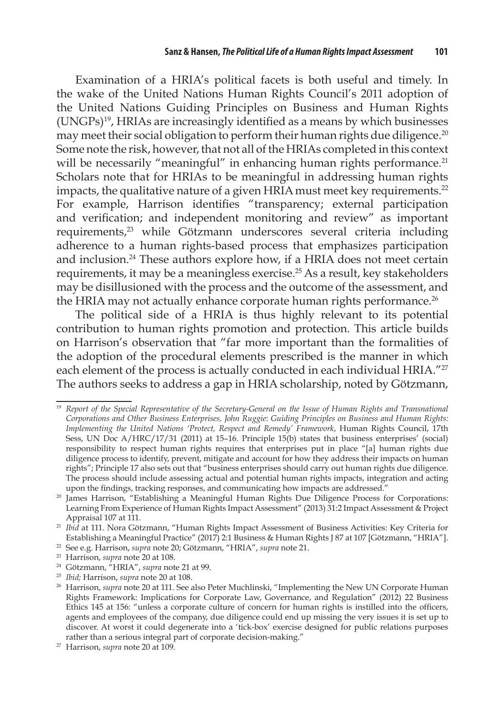Examination of a HRIA's political facets is both useful and timely. In the wake of the United Nations Human Rights Council's 2011 adoption of the United Nations Guiding Principles on Business and Human Rights (UNGPs)19, HRIAs are increasingly identified as a means by which businesses may meet their social obligation to perform their human rights due diligence.<sup>20</sup> Some note the risk, however, that not all of the HRIAs completed in this context will be necessarily "meaningful" in enhancing human rights performance.<sup>21</sup> Scholars note that for HRIAs to be meaningful in addressing human rights impacts, the qualitative nature of a given HRIA must meet key requirements.<sup>22</sup> For example, Harrison identifies "transparency; external participation and verification; and independent monitoring and review" as important requirements,<sup>23</sup> while Götzmann underscores several criteria including adherence to a human rights-based process that emphasizes participation and inclusion.24 These authors explore how, if a HRIA does not meet certain requirements, it may be a meaningless exercise.25 As a result, key stakeholders may be disillusioned with the process and the outcome of the assessment, and the HRIA may not actually enhance corporate human rights performance.<sup>26</sup>

The political side of a HRIA is thus highly relevant to its potential contribution to human rights promotion and protection. This article builds on Harrison's observation that "far more important than the formalities of the adoption of the procedural elements prescribed is the manner in which each element of the process is actually conducted in each individual HRIA."<sup>27</sup> The authors seeks to address a gap in HRIA scholarship, noted by Götzmann,

<sup>&</sup>lt;sup>19</sup> Report of the Special Representative of the Secretary-General on the Issue of Human Rights and Transnational *Corporations and Other Business Enterprises, John Ruggie*: *Guiding Principles on Business and Human Rights: Implementing the United Nations 'Protect, Respect and Remedy' Framework*, Human Rights Council, 17th Sess, UN Doc A/HRC/17/31 (2011) at 15–16. Principle 15(b) states that business enterprises' (social) responsibility to respect human rights requires that enterprises put in place "[a] human rights due diligence process to identify, prevent, mitigate and account for how they address their impacts on human rights"; Principle 17 also sets out that "business enterprises should carry out human rights due diligence. The process should include assessing actual and potential human rights impacts, integration and acting upon the findings, tracking responses, and communicating how impacts are addressed."

<sup>&</sup>lt;sup>20</sup> James Harrison, "Establishing a Meaningful Human Rights Due Diligence Process for Corporations: Learning From Experience of Human Rights Impact Assessment" (2013) 31:2 Impact Assessment & Project

Appraisal 107 at 111. 21 *Ibid* at 111. Nora Götzmann, "Human Rights Impact Assessment of Business Activities: Key Criteria for Establishing a Meaningful Practice" (2017) 2:1 Business & Human Rights J 87 at 107 [Götzmann, "HRIA"]. 22 See e.g. Harrison, *supra* note 20; Götzmann, "HRIA", *supra* note 21.

<sup>23</sup> Harrison, *supra* note 20 at 108.

<sup>24</sup> Götzmann, "HRIA", *supra* note 21 at 99.

<sup>&</sup>lt;sup>25</sup> Ibid; Harrison, *supra* note 20 at 108.<br><sup>26</sup> Harrison, *supra* note 20 at 111. See also Peter Muchlinski, "Implementing the New UN Corporate Human Rights Framework: Implications for Corporate Law, Governance, and Regulation" (2012) 22 Business Ethics 145 at 156: "unless a corporate culture of concern for human rights is instilled into the officers, agents and employees of the company, due diligence could end up missing the very issues it is set up to discover. At worst it could degenerate into a 'tick-box' exercise designed for public relations purposes rather than a serious integral part of corporate decision-making."

<sup>27</sup> Harrison, *supra* note 20 at 109.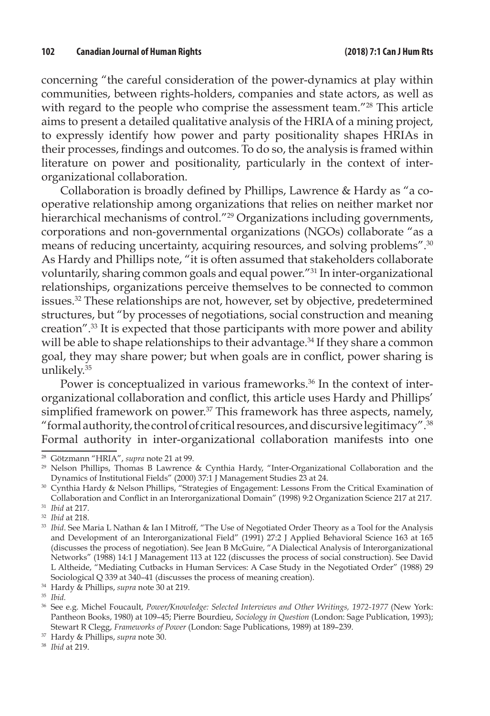concerning "the careful consideration of the power-dynamics at play within communities, between rights-holders, companies and state actors, as well as with regard to the people who comprise the assessment team."<sup>28</sup> This article aims to present a detailed qualitative analysis of the HRIA of a mining project, to expressly identify how power and party positionality shapes HRIAs in their processes, findings and outcomes. To do so, the analysis is framed within literature on power and positionality, particularly in the context of interorganizational collaboration.

Collaboration is broadly defined by Phillips, Lawrence & Hardy as "a cooperative relationship among organizations that relies on neither market nor hierarchical mechanisms of control."<sup>29</sup> Organizations including governments, corporations and non-governmental organizations (NGOs) collaborate "as a means of reducing uncertainty, acquiring resources, and solving problems".30 As Hardy and Phillips note, "it is often assumed that stakeholders collaborate voluntarily, sharing common goals and equal power."31 In inter-organizational relationships, organizations perceive themselves to be connected to common issues.32 These relationships are not, however, set by objective, predetermined structures, but "by processes of negotiations, social construction and meaning creation".33 It is expected that those participants with more power and ability will be able to shape relationships to their advantage.<sup>34</sup> If they share a common goal, they may share power; but when goals are in conflict, power sharing is unlikely.35

Power is conceptualized in various frameworks.<sup>36</sup> In the context of interorganizational collaboration and conflict, this article uses Hardy and Phillips' simplified framework on power.<sup>37</sup> This framework has three aspects, namely, "formal authority, the control of critical resources, and discursive legitimacy".38 Formal authority in inter-organizational collaboration manifests into one

<sup>28</sup> Götzmann "HRIA", *supra* note 21 at 99.

<sup>29</sup> Nelson Phillips, Thomas B Lawrence & Cynthia Hardy, "Inter-Organizational Collaboration and the Dynamics of Institutional Fields" (2000) 37:1 J Management Studies 23 at 24. 30 Cynthia Hardy & Nelson Phillips, "Strategies of Engagement: Lessons From the Critical Examination of

Collaboration and Conflict in an Interorganizational Domain" (1998) 9:2 Organization Science 217 at 217. <sup>31</sup>*Ibid* at 217.

<sup>32</sup>*Ibid* at 218.

<sup>&</sup>lt;sup>33</sup> *Ibid*. See Maria L Nathan & Ian I Mitroff, "The Use of Negotiated Order Theory as a Tool for the Analysis and Development of an Interorganizational Field" (1991) 27:2 J Applied Behavioral Science 163 at 165 (discusses the process of negotiation). See Jean B McGuire, "A Dialectical Analysis of Interorganizational Networks" (1988) 14:1 J Management 113 at 122 (discusses the process of social construction). See David L Altheide, "Mediating Cutbacks in Human Services: A Case Study in the Negotiated Order" (1988) 29 Sociological Q 339 at 340–41 (discusses the process of meaning creation).

<sup>34</sup> Hardy & Phillips, *supra* note 30 at 219.

<sup>35</sup>*Ibid.*

<sup>36</sup> See e.g. Michel Foucault, *Power/Knowledge: Selected Interviews and Other Writings, 1972-1977* (New York: Pantheon Books, 1980) at 109–45; Pierre Bourdieu, *Sociology in Question* (London: Sage Publication, 1993); Stewart R Clegg, *Frameworks of Power* (London: Sage Publications, 1989) at 189–239.

<sup>37</sup> Hardy & Phillips, *supra* note 30.

<sup>38</sup> *Ibid* at 219.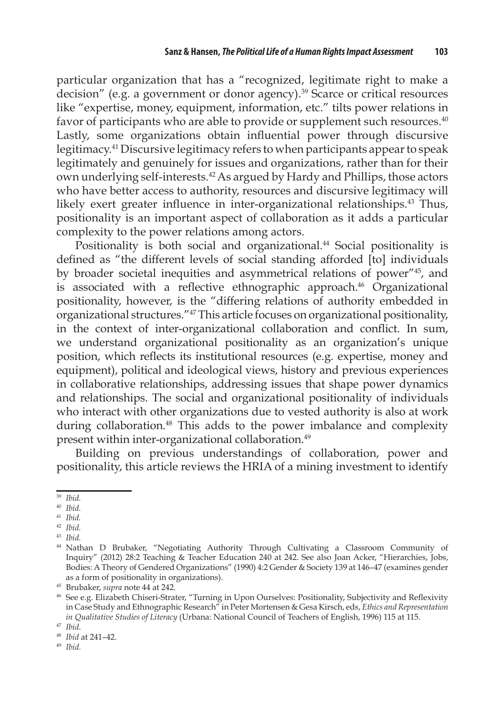particular organization that has a "recognized, legitimate right to make a decision" (e.g. a government or donor agency).39 Scarce or critical resources like "expertise, money, equipment, information, etc." tilts power relations in favor of participants who are able to provide or supplement such resources.<sup>40</sup> Lastly, some organizations obtain influential power through discursive legitimacy.41 Discursive legitimacy refers to when participants appear to speak legitimately and genuinely for issues and organizations, rather than for their own underlying self-interests.42 As argued by Hardy and Phillips, those actors who have better access to authority, resources and discursive legitimacy will likely exert greater influence in inter-organizational relationships.<sup>43</sup> Thus, positionality is an important aspect of collaboration as it adds a particular complexity to the power relations among actors.

Positionality is both social and organizational.<sup>44</sup> Social positionality is defined as "the different levels of social standing afforded [to] individuals by broader societal inequities and asymmetrical relations of power"45, and is associated with a reflective ethnographic approach.<sup>46</sup> Organizational positionality, however, is the "differing relations of authority embedded in organizational structures."47 This article focuses on organizational positionality, in the context of inter-organizational collaboration and conflict. In sum, we understand organizational positionality as an organization's unique position, which reflects its institutional resources (e.g. expertise, money and equipment), political and ideological views, history and previous experiences in collaborative relationships, addressing issues that shape power dynamics and relationships. The social and organizational positionality of individuals who interact with other organizations due to vested authority is also at work during collaboration.<sup>48</sup> This adds to the power imbalance and complexity present within inter-organizational collaboration.49

Building on previous understandings of collaboration, power and positionality, this article reviews the HRIA of a mining investment to identify

<sup>39</sup>*Ibid.*

<sup>40</sup> *Ibid.*

<sup>41</sup>*Ibid.*

<sup>42</sup>*Ibid.*

<sup>43</sup>*Ibid.*

<sup>44</sup> Nathan D Brubaker, "Negotiating Authority Through Cultivating a Classroom Community of Inquiry" (2012) 28:2 Teaching & Teacher Education 240 at 242. See also Joan Acker, "Hierarchies, Jobs, Bodies: A Theory of Gendered Organizations" (1990) 4:2 Gender & Society 139 at 146–47 (examines gender as a form of positionality in organizations).

<sup>45</sup> Brubaker, *supra* note 44 at 242.

<sup>&</sup>lt;sup>46</sup> See e.g. Elizabeth Chiseri-Strater, "Turning in Upon Ourselves: Positionality, Subjectivity and Reflexivity in Case Study and Ethnographic Research" in Peter Mortensen & Gesa Kirsch, eds, *Ethics and Representation in Qualitative Studies of Literacy* (Urbana: National Council of Teachers of English, 1996) 115 at 115.

<sup>47</sup>*Ibid*. 48 *Ibid* at 241–42.

<sup>49</sup> *Ibid*.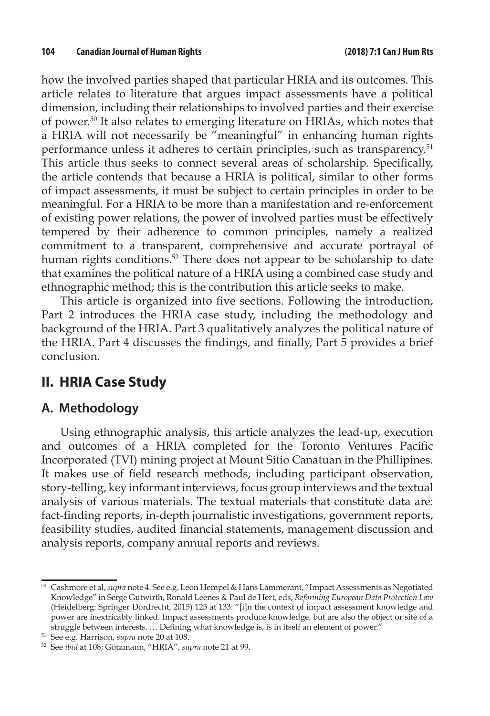how the involved parties shaped that particular HRIA and its outcomes. This article relates to literature that argues impact assessments have a political dimension, including their relationships to involved parties and their exercise of power.50 It also relates to emerging literature on HRIAs, which notes that a HRIA will not necessarily be "meaningful" in enhancing human rights performance unless it adheres to certain principles, such as transparency.51 This article thus seeks to connect several areas of scholarship. Specifically, the article contends that because a HRIA is political, similar to other forms of impact assessments, it must be subject to certain principles in order to be meaningful. For a HRIA to be more than a manifestation and re-enforcement of existing power relations, the power of involved parties must be effectively tempered by their adherence to common principles, namely a realized commitment to a transparent, comprehensive and accurate portrayal of human rights conditions.<sup>52</sup> There does not appear to be scholarship to date that examines the political nature of a HRIA using a combined case study and ethnographic method; this is the contribution this article seeks to make.

This article is organized into five sections. Following the introduction, Part 2 introduces the HRIA case study, including the methodology and background of the HRIA. Part 3 qualitatively analyzes the political nature of the HRIA. Part 4 discusses the findings, and finally, Part 5 provides a brief conclusion.

# **II. HRIA Case Study**

## **A. Methodology**

Using ethnographic analysis, this article analyzes the lead-up, execution and outcomes of a HRIA completed for the Toronto Ventures Pacific Incorporated (TVI) mining project at Mount Sitio Canatuan in the Phillipines. It makes use of field research methods, including participant observation, story-telling, key informant interviews, focus group interviews and the textual analysis of various materials. The textual materials that constitute data are: fact-finding reports, in-depth journalistic investigations, government reports, feasibility studies, audited financial statements, management discussion and analysis reports, company annual reports and reviews.

<sup>50</sup> Cashmore et al, *supra* note 4. See e.g. Leon Hempel & Hans Lammerant, "Impact Assessments as Negotiated Knowledge" in Serge Gutwirth, Ronald Leenes & Paul de Hert, eds, *Reforming European Data Protection Law*  (Heidelberg: Springer Dordrecht, 2015) 125 at 133: "[i]n the context of impact assessment knowledge and power are inextricably linked. Impact assessments produce knowledge, but are also the object or site of a struggle between interests. … Defining what knowledge is, is in itself an element of power."

<sup>51</sup> See e.g. Harrison, *supra* note 20 at 108.

<sup>52</sup> See *ibid* at 108; Götzmann, "HRIA", *supra* note 21 at 99.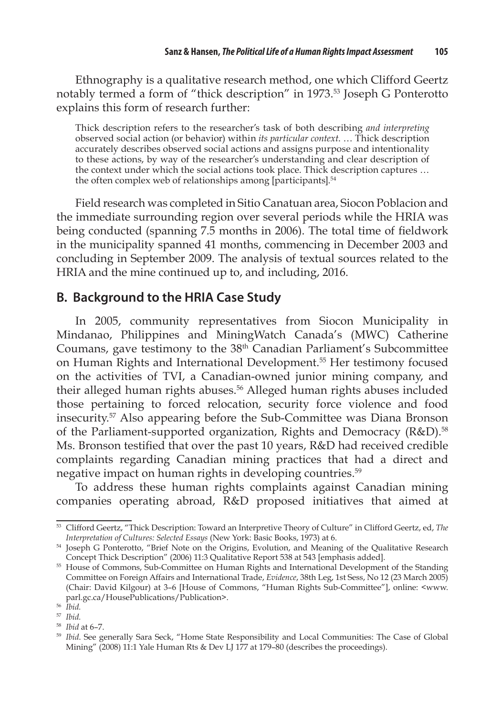Ethnography is a qualitative research method, one which Clifford Geertz notably termed a form of "thick description" in 1973.53 Joseph G Ponterotto explains this form of research further:

Thick description refers to the researcher's task of both describing *and interpreting* observed social action (or behavior) within *its particular context*. … Thick description accurately describes observed social actions and assigns purpose and intentionality to these actions, by way of the researcher's understanding and clear description of the context under which the social actions took place. Thick description captures … the often complex web of relationships among [participants].<sup>54</sup>

Field research was completed in Sitio Canatuan area, Siocon Poblacion and the immediate surrounding region over several periods while the HRIA was being conducted (spanning 7.5 months in 2006). The total time of fieldwork in the municipality spanned 41 months, commencing in December 2003 and concluding in September 2009. The analysis of textual sources related to the HRIA and the mine continued up to, and including, 2016.

## **B. Background to the HRIA Case Study**

In 2005, community representatives from Siocon Municipality in Mindanao, Philippines and MiningWatch Canada's (MWC) Catherine Coumans, gave testimony to the 38th Canadian Parliament's Subcommittee on Human Rights and International Development.<sup>55</sup> Her testimony focused on the activities of TVI, a Canadian-owned junior mining company, and their alleged human rights abuses.<sup>56</sup> Alleged human rights abuses included those pertaining to forced relocation, security force violence and food insecurity.57 Also appearing before the Sub-Committee was Diana Bronson of the Parliament-supported organization, Rights and Democracy  $(R&D)$ .<sup>58</sup> Ms. Bronson testified that over the past 10 years, R&D had received credible complaints regarding Canadian mining practices that had a direct and negative impact on human rights in developing countries.<sup>59</sup>

To address these human rights complaints against Canadian mining companies operating abroad, R&D proposed initiatives that aimed at

<sup>53</sup> Clifford Geertz, "Thick Description: Toward an Interpretive Theory of Culture" in Clifford Geertz, ed, *The Interpretation of Cultures: Selected Essays* (New York: Basic Books, 1973) at 6.

<sup>54</sup> Joseph G Ponterotto, "Brief Note on the Origins, Evolution, and Meaning of the Qualitative Research Concept Thick Description" (2006) 11:3 Qualitative Report 538 at 543 [emphasis added].

<sup>55</sup> House of Commons, Sub-Committee on Human Rights and International Development of the Standing Committee on Foreign Affairs and International Trade, *Evidence*, 38th Leg, 1st Sess, No 12 (23 March 2005) (Chair: David Kilgour) at 3–6 [House of Commons, "Human Rights Sub-Committee"], online: <www. parl.gc.ca/HousePublications/Publication>.

<sup>56</sup> *Ibid.* 

<sup>57</sup>*Ibid.*

<sup>58</sup>*Ibid* at 6–7.

<sup>59</sup>*Ibid*. See generally Sara Seck, "Home State Responsibility and Local Communities: The Case of Global Mining" (2008) 11:1 Yale Human Rts & Dev LJ 177 at 179–80 (describes the proceedings).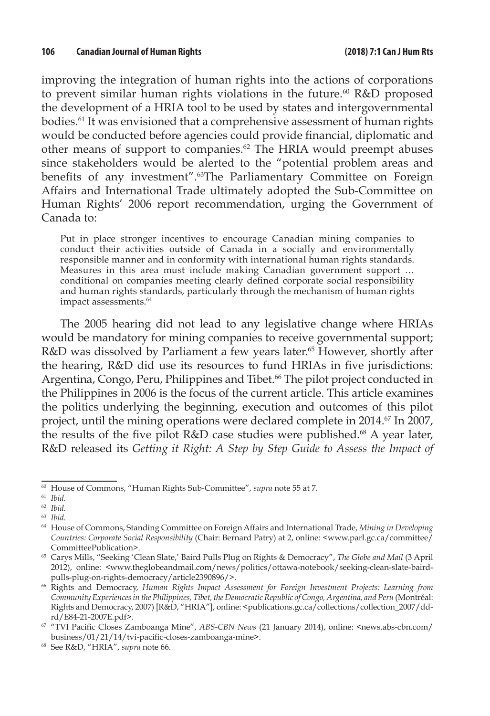improving the integration of human rights into the actions of corporations to prevent similar human rights violations in the future.<sup>60</sup> R&D proposed the development of a HRIA tool to be used by states and intergovernmental bodies.61 It was envisioned that a comprehensive assessment of human rights would be conducted before agencies could provide financial, diplomatic and other means of support to companies.62 The HRIA would preempt abuses since stakeholders would be alerted to the "potential problem areas and benefits of any investment".<sup>63</sup>The Parliamentary Committee on Foreign Affairs and International Trade ultimately adopted the Sub-Committee on Human Rights' 2006 report recommendation, urging the Government of Canada to:

Put in place stronger incentives to encourage Canadian mining companies to conduct their activities outside of Canada in a socially and environmentally responsible manner and in conformity with international human rights standards. Measures in this area must include making Canadian government support … conditional on companies meeting clearly defined corporate social responsibility and human rights standards, particularly through the mechanism of human rights impact assessments.<sup>64</sup>

The 2005 hearing did not lead to any legislative change where HRIAs would be mandatory for mining companies to receive governmental support; R&D was dissolved by Parliament a few years later.<sup>65</sup> However, shortly after the hearing, R&D did use its resources to fund HRIAs in five jurisdictions: Argentina, Congo, Peru, Philippines and Tibet.<sup>66</sup> The pilot project conducted in the Philippines in 2006 is the focus of the current article. This article examines the politics underlying the beginning, execution and outcomes of this pilot project, until the mining operations were declared complete in 2014.<sup>67</sup> In 2007, the results of the five pilot R&D case studies were published.<sup>68</sup> A year later, R&D released its *Getting it Right: A Step by Step Guide to Assess the Impact of* 

<sup>60</sup> House of Commons, "Human Rights Sub-Committee", *supra* note 55 at 7.

<sup>61</sup>*Ibid.*

<sup>62</sup>*Ibid.*

<sup>63</sup>*Ibid.*

<sup>64</sup> House of Commons, Standing Committee on Foreign Affairs and International Trade, *Mining in Developing Countries: Corporate Social Responsibility* (Chair: Bernard Patry) at 2, online: <www.parl.gc.ca/committee/ CommitteePublication>.

<sup>65</sup> Carys Mills, "Seeking 'Clean Slate,' Baird Pulls Plug on Rights & Democracy", *The Globe and Mail* (3 April 2012), online: <www.theglobeandmail.com/news/politics/ottawa-notebook/seeking-clean-slate-bairdpulls-plug-on-rights-democracy/article2390896/>.

<sup>66</sup> Rights and Democracy, *Human Rights Impact Assessment for Foreign Investment Projects: Learning from Community Experiences in the Philippines, Tibet, the Democratic Republic of Congo, Argentina, and Peru* (Montréal: Rights and Democracy, 2007) [R&D, "HRIA"], online: <publications.gc.ca/collections/collection\_2007/ddrd/E84-21-2007E.pdf>.

<sup>67</sup>"TVI Pacific Closes Zamboanga Mine", *ABS-CBN News* (21 January 2014), online: <news.abs-cbn.com/ business/01/21/14/tvi-pacific-closes-zamboanga-mine>.

<sup>68</sup> See R&D, "HRIA", *supra* note 66.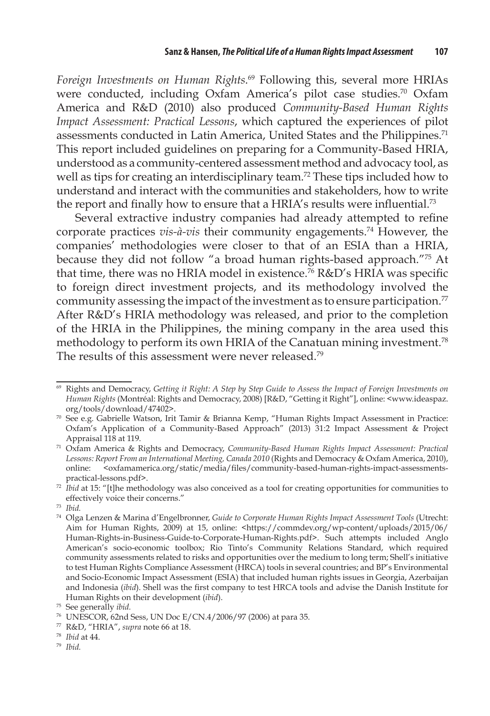*Foreign Investments on Human Rights*. <sup>69</sup> Following this, several more HRIAs were conducted, including Oxfam America's pilot case studies.<sup>70</sup> Oxfam America and R&D (2010) also produced *Community-Based Human Rights Impact Assessment: Practical Lessons*, which captured the experiences of pilot assessments conducted in Latin America, United States and the Philippines.<sup>71</sup> This report included guidelines on preparing for a Community-Based HRIA, understood as a community-centered assessment method and advocacy tool, as well as tips for creating an interdisciplinary team.<sup>72</sup> These tips included how to understand and interact with the communities and stakeholders, how to write the report and finally how to ensure that a HRIA's results were influential.<sup>73</sup>

Several extractive industry companies had already attempted to refine corporate practices *vis-à-vis* their community engagements.74 However, the companies' methodologies were closer to that of an ESIA than a HRIA, because they did not follow "a broad human rights-based approach."75 At that time, there was no HRIA model in existence.76 R&D's HRIA was specific to foreign direct investment projects, and its methodology involved the community assessing the impact of the investment as to ensure participation.<sup>77</sup> After R&D's HRIA methodology was released, and prior to the completion of the HRIA in the Philippines, the mining company in the area used this methodology to perform its own HRIA of the Canatuan mining investment.<sup>78</sup> The results of this assessment were never released.<sup>79</sup>

<sup>69</sup> Rights and Democracy, *Getting it Right: A Step by Step Guide to Assess the Impact of Foreign Investments on Human Rights* (Montréal: Rights and Democracy, 2008) [R&D, "Getting it Right"], online: <www.ideaspaz. org/tools/download/47402>.

<sup>70</sup> See e.g. Gabrielle Watson, Irit Tamir & Brianna Kemp, "Human Rights Impact Assessment in Practice: Oxfam's Application of a Community-Based Approach" (2013) 31:2 Impact Assessment & Project

Appraisal 118 at 119. 71 Oxfam America & Rights and Democracy, *Community-Based Human Rights Impact Assessment: Practical Lessons: Report From an International Meeting, Canada 2010* (Rights and Democracy & Oxfam America, 2010), online: <oxfamamerica.org/static/media/files/community-based-human-rights-impact-assessmentspractical-lessons.pdf>.

<sup>&</sup>lt;sup>72</sup> Ibid at 15: "[t]he methodology was also conceived as a tool for creating opportunities for communities to effectively voice their concerns."

<sup>73</sup> *Ibid.* 

<sup>74</sup> Olga Lenzen & Marina d'Engelbronner, *Guide to Corporate Human Rights Impact Assessment Tools* (Utrecht: Aim for Human Rights, 2009) at 15, online: <https://commdev.org/wp-content/uploads/2015/06/ Human-Rights-in-Business-Guide-to-Corporate-Human-Rights.pdf>. Such attempts included Anglo American's socio-economic toolbox; Rio Tinto's Community Relations Standard, which required community assessments related to risks and opportunities over the medium to long term; Shell's initiative to test Human Rights Compliance Assessment (HRCA) tools in several countries; and BP's Environmental and Socio-Economic Impact Assessment (ESIA) that included human rights issues in Georgia, Azerbaijan and Indonesia (*ibid*). Shell was the first company to test HRCA tools and advise the Danish Institute for Human Rights on their development (*ibid*).

<sup>75</sup> See generally *ibid.*

<sup>76</sup> UNESCOR, 62nd Sess, UN Doc E/CN.4/2006/97 (2006) at para 35.

<sup>77</sup> R&D, "HRIA", *supra* note 66 at 18.

<sup>78</sup>*Ibid* at 44.

<sup>79</sup> *Ibid.*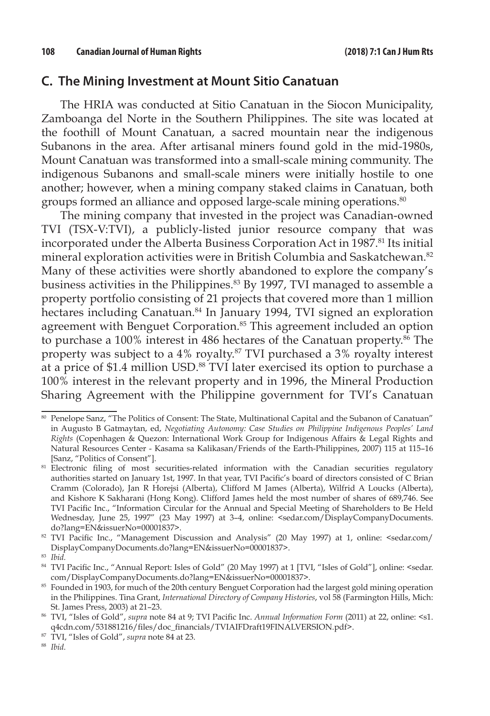## **C. The Mining Investment at Mount Sitio Canatuan**

The HRIA was conducted at Sitio Canatuan in the Siocon Municipality, Zamboanga del Norte in the Southern Philippines. The site was located at the foothill of Mount Canatuan, a sacred mountain near the indigenous Subanons in the area. After artisanal miners found gold in the mid-1980s, Mount Canatuan was transformed into a small-scale mining community. The indigenous Subanons and small-scale miners were initially hostile to one another; however, when a mining company staked claims in Canatuan, both groups formed an alliance and opposed large-scale mining operations.<sup>80</sup>

The mining company that invested in the project was Canadian-owned TVI (TSX-V:TVI), a publicly-listed junior resource company that was incorporated under the Alberta Business Corporation Act in 1987.<sup>81</sup> Its initial mineral exploration activities were in British Columbia and Saskatchewan.<sup>82</sup> Many of these activities were shortly abandoned to explore the company's business activities in the Philippines.<sup>83</sup> By 1997, TVI managed to assemble a property portfolio consisting of 21 projects that covered more than 1 million hectares including Canatuan.<sup>84</sup> In January 1994, TVI signed an exploration agreement with Benguet Corporation.<sup>85</sup> This agreement included an option to purchase a 100% interest in 486 hectares of the Canatuan property.<sup>86</sup> The property was subject to a 4% royalty.<sup>87</sup> TVI purchased a 3% royalty interest at a price of \$1.4 million USD.88 TVI later exercised its option to purchase a 100% interest in the relevant property and in 1996, the Mineral Production Sharing Agreement with the Philippine government for TVI's Canatuan

<sup>80</sup> Penelope Sanz, "The Politics of Consent: The State, Multinational Capital and the Subanon of Canatuan" in Augusto B Gatmaytan, ed, *Negotiating Autonomy: Case Studies on Philippine Indigenous Peoples' Land Rights* (Copenhagen & Quezon: International Work Group for Indigenous Affairs & Legal Rights and Natural Resources Center - Kasama sa Kalikasan/Friends of the Earth-Philippines, 2007) 115 at 115–16 [Sanz, "Politics of Consent"].

<sup>&</sup>lt;sup>81</sup> Electronic filing of most securities-related information with the Canadian securities regulatory authorities started on January 1st, 1997. In that year, TVI Pacific's board of directors consisted of C Brian Cramm (Colorado), Jan R Horejsi (Alberta), Clifford M James (Alberta), Wilfrid A Loucks (Alberta), and Kishore K Sakharani (Hong Kong). Clifford James held the most number of shares of 689,746. See TVI Pacific Inc., "Information Circular for the Annual and Special Meeting of Shareholders to Be Held Wednesday, June 25, 1997" (23 May 1997) at 3–4, online: <sedar.com/DisplayCompanyDocuments. do?lang=EN&issuerNo=00001837>. 82 TVI Pacific Inc., "Management Discussion and Analysis" (20 May 1997) at 1, online: <sedar.com/

DisplayCompanyDocuments.do?lang=EN&issuerNo=00001837>.

<sup>83</sup> *Ibid.* 

<sup>84</sup> TVI Pacific Inc., "Annual Report: Isles of Gold" (20 May 1997) at 1 [TVI, "Isles of Gold"], online: <sedar. com/DisplayCompanyDocuments.do?lang=EN&issuerNo=00001837>.

<sup>85</sup> Founded in 1903, for much of the 20th century Benguet Corporation had the largest gold mining operation in the Philippines. Tina Grant, *International Directory of Company Histories*, vol 58 (Farmington Hills, Mich: St. James Press, 2003) at 21–23.

<sup>86</sup> TVI, "Isles of Gold", *supra* note 84 at 9; TVI Pacific Inc. *Annual Information Form* (2011) at 22, online: <s1. q4cdn.com/531881216/files/doc\_financials/TVIAIFDraft19FINALVERSION.pdf>.

<sup>87</sup> TVI, "Isles of Gold", *supra* note 84 at 23.

<sup>88</sup> *Ibid.*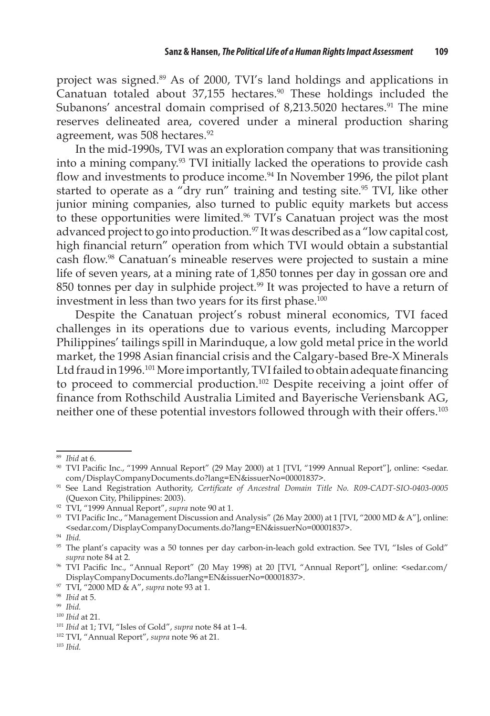project was signed.89 As of 2000, TVI's land holdings and applications in Canatuan totaled about 37,155 hectares.<sup>90</sup> These holdings included the Subanons' ancestral domain comprised of 8,213.5020 hectares.<sup>91</sup> The mine reserves delineated area, covered under a mineral production sharing agreement, was 508 hectares.<sup>92</sup>

In the mid-1990s, TVI was an exploration company that was transitioning into a mining company.93 TVI initially lacked the operations to provide cash flow and investments to produce income.<sup>94</sup> In November 1996, the pilot plant started to operate as a "dry run" training and testing site.<sup>95</sup> TVI, like other junior mining companies, also turned to public equity markets but access to these opportunities were limited.<sup>96</sup> TVI's Canatuan project was the most advanced project to go into production.<sup>97</sup> It was described as a "low capital cost, high financial return" operation from which TVI would obtain a substantial cash flow.98 Canatuan's mineable reserves were projected to sustain a mine life of seven years, at a mining rate of 1,850 tonnes per day in gossan ore and 850 tonnes per day in sulphide project.<sup>99</sup> It was projected to have a return of investment in less than two years for its first phase.<sup>100</sup>

Despite the Canatuan project's robust mineral economics, TVI faced challenges in its operations due to various events, including Marcopper Philippines' tailings spill in Marinduque, a low gold metal price in the world market, the 1998 Asian financial crisis and the Calgary-based Bre-X Minerals Ltd fraud in 1996.<sup>101</sup> More importantly, TVI failed to obtain adequate financing to proceed to commercial production.102 Despite receiving a joint offer of finance from Rothschild Australia Limited and Bayerische Veriensbank AG, neither one of these potential investors followed through with their offers.103

<sup>89</sup>*Ibid* at 6.

<sup>90</sup>TVI Pacific Inc., "1999 Annual Report" (29 May 2000) at 1 [TVI, "1999 Annual Report"], online: <sedar. com/DisplayCompanyDocuments.do?lang=EN&issuerNo=00001837>.

<sup>91</sup> See Land Registration Authority, *Certificate of Ancestral Domain Title No. R09-CADT-SIO-0403-0005*  (Quexon City, Philippines: 2003).

<sup>92</sup> TVI, "1999 Annual Report", *supra* note 90 at 1.

<sup>93</sup> TVI Pacific Inc., "Management Discussion and Analysis" (26 May 2000) at 1 [TVI, "2000 MD & A"], online: <sedar.com/DisplayCompanyDocuments.do?lang=EN&issuerNo=00001837>.

<sup>94</sup>*Ibid.*

<sup>95</sup> The plant's capacity was a 50 tonnes per day carbon-in-leach gold extraction. See TVI, "Isles of Gold" *supra* note 84 at 2. 96 TVI Pacific Inc., "Annual Report" (20 May 1998) at 20 [TVI, "Annual Report"], online: <sedar.com/

DisplayCompanyDocuments.do?lang=EN&issuerNo=00001837>. 97 TVI, "2000 MD & A", *supra* note 93 at 1.

<sup>98</sup>*Ibid* at 5.

<sup>99</sup> *Ibid.*

<sup>100</sup>*Ibid* at 21.

<sup>101</sup>*Ibid* at 1; TVI, "Isles of Gold", *supra* note 84 at 1–4.

<sup>102</sup> TVI, "Annual Report", *supra* note 96 at 21.

<sup>103</sup> *Ibid.*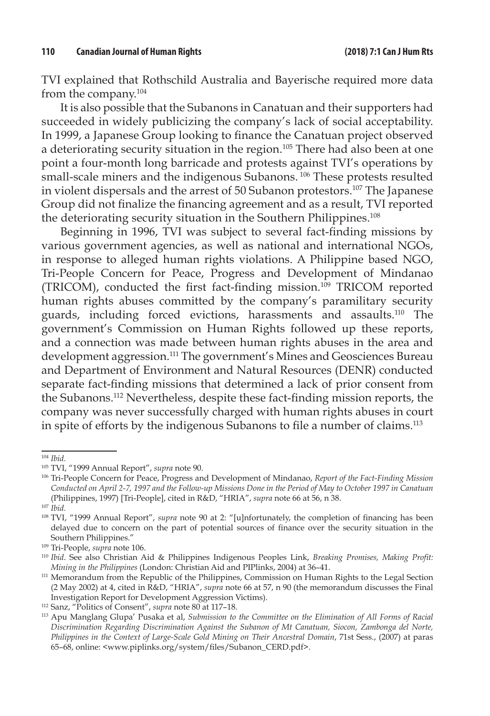TVI explained that Rothschild Australia and Bayerische required more data from the company.104

It is also possible that the Subanons in Canatuan and their supporters had succeeded in widely publicizing the company's lack of social acceptability. In 1999, a Japanese Group looking to finance the Canatuan project observed a deteriorating security situation in the region.<sup>105</sup> There had also been at one point a four-month long barricade and protests against TVI's operations by small-scale miners and the indigenous Subanons.<sup>106</sup> These protests resulted in violent dispersals and the arrest of 50 Subanon protestors.107 The Japanese Group did not finalize the financing agreement and as a result, TVI reported the deteriorating security situation in the Southern Philippines.<sup>108</sup>

Beginning in 1996, TVI was subject to several fact-finding missions by various government agencies, as well as national and international NGOs, in response to alleged human rights violations. A Philippine based NGO, Tri-People Concern for Peace, Progress and Development of Mindanao (TRICOM), conducted the first fact-finding mission.<sup>109</sup> TRICOM reported human rights abuses committed by the company's paramilitary security guards, including forced evictions, harassments and assaults.110 The government's Commission on Human Rights followed up these reports, and a connection was made between human rights abuses in the area and development aggression.<sup>111</sup> The government's Mines and Geosciences Bureau and Department of Environment and Natural Resources (DENR) conducted separate fact-finding missions that determined a lack of prior consent from the Subanons.112 Nevertheless, despite these fact-finding mission reports, the company was never successfully charged with human rights abuses in court in spite of efforts by the indigenous Subanons to file a number of claims.<sup>113</sup>

<sup>104</sup>*Ibid.*

<sup>&</sup>lt;sup>105</sup> TVI, "1999 Annual Report", *supra* note 90.<br><sup>106</sup> Tri-People Concern for Peace, Progress and Development of Mindanao, *Report of the Fact-Finding Mission Conducted on April 2-7, 1997 and the Follow-up Missions Done in the Period of May to October 1997 in Canatuan* (Philippines, 1997) [Tri-People], cited in R&D, "HRIA", *supra* note 66 at 56, n 38.

<sup>107</sup>*Ibid.*

<sup>108</sup> TVI, "1999 Annual Report", *supra* note 90 at 2: "[u]nfortunately, the completion of financing has been delayed due to concern on the part of potential sources of finance over the security situation in the

<sup>&</sup>lt;sup>109</sup> Tri-People, *supra* note 106.<br><sup>110</sup> Ibid. See also Christian Aid & Philippines Indigenous Peoples Link, *Breaking Promises, Making Profit: Mining in the Philippines* (London: Christian Aid and PIPlinks, 2004) at 36–41.

<sup>&</sup>lt;sup>111</sup> Memorandum from the Republic of the Philippines, Commission on Human Rights to the Legal Section (2 May 2002) at 4, cited in R&D, "HRIA", *supra* note 66 at 57, n 90 (the memorandum discusses the Final Investigation Report for Development Aggression Victims). 112 Sanz, "Politics of Consent", *supra* note 80 at 117–18.

<sup>113</sup> Apu Manglang Glupa' Pusaka et al, *Submission to the Committee on the Elimination of All Forms of Racial Discrimination Regarding Discrimination Against the Subanon of Mt Canatuan, Siocon, Zambonga del Norte, Philippines in the Context of Large-Scale Gold Mining on Their Ancestral Domain*, 71st Sess., (2007) at paras 65–68, online: <www.piplinks.org/system/files/Subanon\_CERD.pdf>.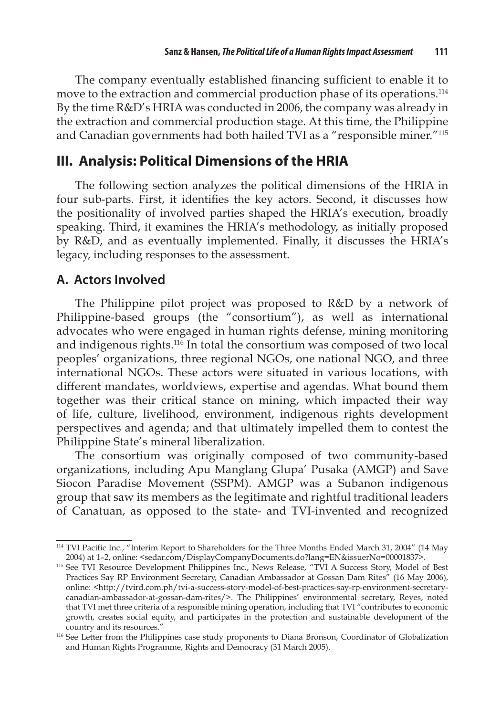The company eventually established financing sufficient to enable it to move to the extraction and commercial production phase of its operations.<sup>114</sup> By the time R&D's HRIA was conducted in 2006, the company was already in the extraction and commercial production stage. At this time, the Philippine and Canadian governments had both hailed TVI as a "responsible miner."115

## **III. Analysis: Political Dimensions of the HRIA**

The following section analyzes the political dimensions of the HRIA in four sub-parts. First, it identifies the key actors. Second, it discusses how the positionality of involved parties shaped the HRIA's execution, broadly speaking. Third, it examines the HRIA's methodology, as initially proposed by R&D, and as eventually implemented. Finally, it discusses the HRIA's legacy, including responses to the assessment.

## **A. Actors Involved**

The Philippine pilot project was proposed to R&D by a network of Philippine-based groups (the "consortium"), as well as international advocates who were engaged in human rights defense, mining monitoring and indigenous rights.116 In total the consortium was composed of two local peoples' organizations, three regional NGOs, one national NGO, and three international NGOs. These actors were situated in various locations, with different mandates, worldviews, expertise and agendas. What bound them together was their critical stance on mining, which impacted their way of life, culture, livelihood, environment, indigenous rights development perspectives and agenda; and that ultimately impelled them to contest the Philippine State's mineral liberalization.

The consortium was originally composed of two community-based organizations, including Apu Manglang Glupa' Pusaka (AMGP) and Save Siocon Paradise Movement (SSPM). AMGP was a Subanon indigenous group that saw its members as the legitimate and rightful traditional leaders of Canatuan, as opposed to the state- and TVI-invented and recognized

<sup>114</sup>TVI Pacific Inc., "Interim Report to Shareholders for the Three Months Ended March 31, 2004" (14 May 2004) at 1–2, online: <sedar.com/DisplayCompanyDocuments.do?lang=EN&issuerNo=00001837>.

<sup>&</sup>lt;sup>115</sup> See TVI Resource Development Philippines Inc., News Release, "TVI A Success Story, Model of Best Practices Say RP Environment Secretary, Canadian Ambassador at Gossan Dam Rites" (16 May 2006), online: <http://tvird.com.ph/tvi-a-success-story-model-of-best-practices-say-rp-environment-secretarycanadian-ambassador-at-gossan-dam-rites/>. The Philippines' environmental secretary, Reyes, noted that TVI met three criteria of a responsible mining operation, including that TVI "contributes to economic growth, creates social equity, and participates in the protection and sustainable development of the country and its resources."

<sup>&</sup>lt;sup>116</sup> See Letter from the Philippines case study proponents to Diana Bronson, Coordinator of Globalization and Human Rights Programme, Rights and Democracy (31 March 2005).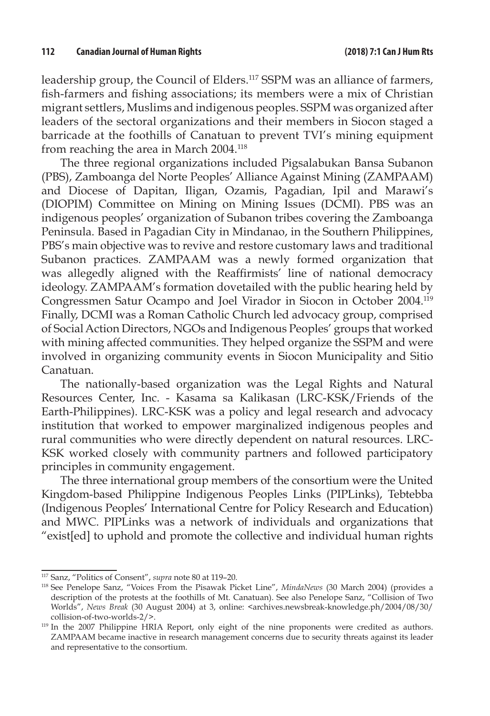leadership group, the Council of Elders.<sup>117</sup> SSPM was an alliance of farmers, fish-farmers and fishing associations; its members were a mix of Christian migrant settlers, Muslims and indigenous peoples. SSPM was organized after leaders of the sectoral organizations and their members in Siocon staged a barricade at the foothills of Canatuan to prevent TVI's mining equipment from reaching the area in March 2004.118

The three regional organizations included Pigsalabukan Bansa Subanon (PBS), Zamboanga del Norte Peoples' Alliance Against Mining (ZAMPAAM) and Diocese of Dapitan, Iligan, Ozamis, Pagadian, Ipil and Marawi's (DIOPIM) Committee on Mining on Mining Issues (DCMI). PBS was an indigenous peoples' organization of Subanon tribes covering the Zamboanga Peninsula. Based in Pagadian City in Mindanao, in the Southern Philippines, PBS's main objective was to revive and restore customary laws and traditional Subanon practices. ZAMPAAM was a newly formed organization that was allegedly aligned with the Reaffirmists' line of national democracy ideology. ZAMPAAM's formation dovetailed with the public hearing held by Congressmen Satur Ocampo and Joel Virador in Siocon in October 2004.119 Finally, DCMI was a Roman Catholic Church led advocacy group, comprised of Social Action Directors, NGOs and Indigenous Peoples' groups that worked with mining affected communities. They helped organize the SSPM and were involved in organizing community events in Siocon Municipality and Sitio Canatuan.

The nationally-based organization was the Legal Rights and Natural Resources Center, Inc. - Kasama sa Kalikasan (LRC-KSK/Friends of the Earth-Philippines). LRC-KSK was a policy and legal research and advocacy institution that worked to empower marginalized indigenous peoples and rural communities who were directly dependent on natural resources. LRC-KSK worked closely with community partners and followed participatory principles in community engagement.

The three international group members of the consortium were the United Kingdom-based Philippine Indigenous Peoples Links (PIPLinks), Tebtebba (Indigenous Peoples' International Centre for Policy Research and Education) and MWC. PIPLinks was a network of individuals and organizations that "exist[ed] to uphold and promote the collective and individual human rights

<sup>117</sup> Sanz, "Politics of Consent", *supra* note 80 at 119–20.

<sup>118</sup> See Penelope Sanz, "Voices From the Pisawak Picket Line", *MindaNews* (30 March 2004) (provides a description of the protests at the foothills of Mt. Canatuan). See also Penelope Sanz, "Collision of Two Worlds", *News Break* (30 August 2004) at 3, online: <archives.newsbreak-knowledge.ph/2004/08/30/ collision-of-two-worlds-2/>.

<sup>&</sup>lt;sup>119</sup> In the 2007 Philippine HRIA Report, only eight of the nine proponents were credited as authors. ZAMPAAM became inactive in research management concerns due to security threats against its leader and representative to the consortium.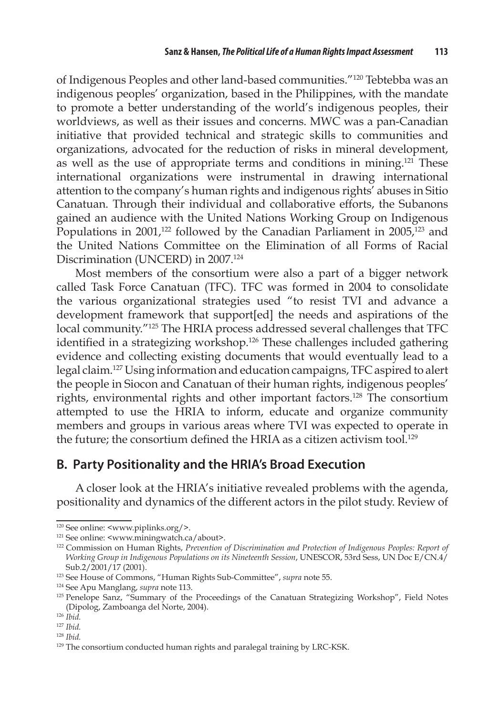of Indigenous Peoples and other land-based communities."120 Tebtebba was an indigenous peoples' organization, based in the Philippines, with the mandate to promote a better understanding of the world's indigenous peoples, their worldviews, as well as their issues and concerns. MWC was a pan-Canadian initiative that provided technical and strategic skills to communities and organizations, advocated for the reduction of risks in mineral development, as well as the use of appropriate terms and conditions in mining.121 These international organizations were instrumental in drawing international attention to the company's human rights and indigenous rights' abuses in Sitio Canatuan. Through their individual and collaborative efforts, the Subanons gained an audience with the United Nations Working Group on Indigenous Populations in 2001,<sup>122</sup> followed by the Canadian Parliament in  $2005$ ,<sup>123</sup> and the United Nations Committee on the Elimination of all Forms of Racial Discrimination (UNCERD) in 2007.<sup>124</sup>

Most members of the consortium were also a part of a bigger network called Task Force Canatuan (TFC). TFC was formed in 2004 to consolidate the various organizational strategies used "to resist TVI and advance a development framework that support[ed] the needs and aspirations of the local community."125 The HRIA process addressed several challenges that TFC identified in a strategizing workshop.<sup>126</sup> These challenges included gathering evidence and collecting existing documents that would eventually lead to a legal claim.127 Using information and education campaigns, TFC aspired to alert the people in Siocon and Canatuan of their human rights, indigenous peoples' rights, environmental rights and other important factors.<sup>128</sup> The consortium attempted to use the HRIA to inform, educate and organize community members and groups in various areas where TVI was expected to operate in the future; the consortium defined the HRIA as a citizen activism tool.<sup>129</sup>

## **B. Party Positionality and the HRIA's Broad Execution**

A closer look at the HRIA's initiative revealed problems with the agenda, positionality and dynamics of the different actors in the pilot study. Review of

<sup>&</sup>lt;sup>120</sup> See online:  $\langle$ www.piplinks.org/>.<br><sup>121</sup> See online:  $\langle$ www.miningwatch.ca/about>.

<sup>&</sup>lt;sup>122</sup> Commission on Human Rights, Prevention of Discrimination and Protection of Indigenous Peoples: Report of *Working Group in Indigenous Populations on its Nineteenth Session*, UNESCOR, 53rd Sess, UN Doc E/CN.4/ Sub.2/2001/17 (2001).

<sup>123</sup> See House of Commons, "Human Rights Sub-Committee", *supra* note 55.

<sup>124</sup> See Apu Manglang, *supra* note 113.

<sup>125</sup> Penelope Sanz, "Summary of the Proceedings of the Canatuan Strategizing Workshop", Field Notes (Dipolog, Zamboanga del Norte, 2004).

<sup>126</sup> *Ibid.* 

<sup>127</sup> *Ibid.* 

<sup>128</sup> *Ibid.* 

<sup>129</sup> The consortium conducted human rights and paralegal training by LRC-KSK.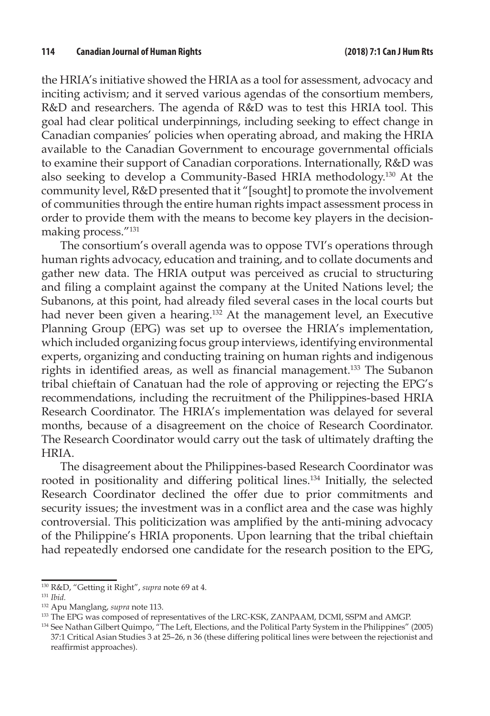the HRIA's initiative showed the HRIA as a tool for assessment, advocacy and inciting activism; and it served various agendas of the consortium members, R&D and researchers. The agenda of R&D was to test this HRIA tool. This goal had clear political underpinnings, including seeking to effect change in Canadian companies' policies when operating abroad, and making the HRIA available to the Canadian Government to encourage governmental officials to examine their support of Canadian corporations. Internationally, R&D was also seeking to develop a Community-Based HRIA methodology.130 At the community level, R&D presented that it "[sought] to promote the involvement of communities through the entire human rights impact assessment process in order to provide them with the means to become key players in the decisionmaking process."131

The consortium's overall agenda was to oppose TVI's operations through human rights advocacy, education and training, and to collate documents and gather new data. The HRIA output was perceived as crucial to structuring and filing a complaint against the company at the United Nations level; the Subanons, at this point, had already filed several cases in the local courts but had never been given a hearing.<sup>132</sup> At the management level, an Executive Planning Group (EPG) was set up to oversee the HRIA's implementation, which included organizing focus group interviews, identifying environmental experts, organizing and conducting training on human rights and indigenous rights in identified areas, as well as financial management.133 The Subanon tribal chieftain of Canatuan had the role of approving or rejecting the EPG's recommendations, including the recruitment of the Philippines-based HRIA Research Coordinator. The HRIA's implementation was delayed for several months, because of a disagreement on the choice of Research Coordinator. The Research Coordinator would carry out the task of ultimately drafting the HRIA.

The disagreement about the Philippines-based Research Coordinator was rooted in positionality and differing political lines.134 Initially, the selected Research Coordinator declined the offer due to prior commitments and security issues; the investment was in a conflict area and the case was highly controversial. This politicization was amplified by the anti-mining advocacy of the Philippine's HRIA proponents. Upon learning that the tribal chieftain had repeatedly endorsed one candidate for the research position to the EPG,

<sup>130</sup> R&D, "Getting it Right", *supra* note 69 at 4.

<sup>131</sup> *Ibid.* 

<sup>132</sup> Apu Manglang, *supra* note 113.

<sup>133</sup> The EPG was composed of representatives of the LRC-KSK, ZANPAAM, DCMI, SSPM and AMGP.

<sup>&</sup>lt;sup>134</sup> See Nathan Gilbert Quimpo, "The Left, Elections, and the Political Party System in the Philippines" (2005) 37:1 Critical Asian Studies 3 at 25–26, n 36 (these differing political lines were between the rejectionist and reaffirmist approaches).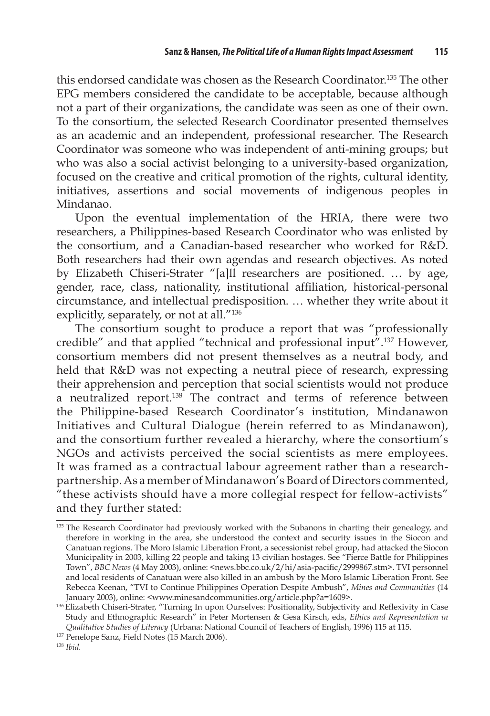this endorsed candidate was chosen as the Research Coordinator.135 The other EPG members considered the candidate to be acceptable, because although not a part of their organizations, the candidate was seen as one of their own. To the consortium, the selected Research Coordinator presented themselves as an academic and an independent, professional researcher. The Research Coordinator was someone who was independent of anti-mining groups; but who was also a social activist belonging to a university-based organization, focused on the creative and critical promotion of the rights, cultural identity, initiatives, assertions and social movements of indigenous peoples in Mindanao.

Upon the eventual implementation of the HRIA, there were two researchers, a Philippines-based Research Coordinator who was enlisted by the consortium, and a Canadian-based researcher who worked for R&D. Both researchers had their own agendas and research objectives. As noted by Elizabeth Chiseri-Strater "[a]ll researchers are positioned. … by age, gender, race, class, nationality, institutional affiliation, historical-personal circumstance, and intellectual predisposition. … whether they write about it explicitly, separately, or not at all."136

The consortium sought to produce a report that was "professionally credible" and that applied "technical and professional input".137 However, consortium members did not present themselves as a neutral body, and held that R&D was not expecting a neutral piece of research, expressing their apprehension and perception that social scientists would not produce a neutralized report.138 The contract and terms of reference between the Philippine-based Research Coordinator's institution, Mindanawon Initiatives and Cultural Dialogue (herein referred to as Mindanawon), and the consortium further revealed a hierarchy, where the consortium's NGOs and activists perceived the social scientists as mere employees. It was framed as a contractual labour agreement rather than a researchpartnership. As a member of Mindanawon's Board of Directors commented, "these activists should have a more collegial respect for fellow-activists" and they further stated:

<sup>135</sup> The Research Coordinator had previously worked with the Subanons in charting their genealogy, and therefore in working in the area, she understood the context and security issues in the Siocon and Canatuan regions. The Moro Islamic Liberation Front, a secessionist rebel group, had attacked the Siocon Municipality in 2003, killing 22 people and taking 13 civilian hostages. See "Fierce Battle for Philippines Town", *BBC News* (4 May 2003), online: <news.bbc.co.uk/2/hi/asia-pacific/2999867.stm>. TVI personnel and local residents of Canatuan were also killed in an ambush by the Moro Islamic Liberation Front. See Rebecca Keenan, "TVI to Continue Philippines Operation Despite Ambush", *Mines and Communities* (14 January 2003), online: <www.minesandcommunities.org/article.php?a=1609>.

<sup>&</sup>lt;sup>136</sup> Elizabeth Chiseri-Strater, "Turning In upon Ourselves: Positionality, Subjectivity and Reflexivity in Case Study and Ethnographic Research" in Peter Mortensen & Gesa Kirsch, eds, *Ethics and Representation in Qualitative Studies of Literacy* (Urbana: National Council of Teachers of English, 1996) 115 at 115. 137 Penelope Sanz, Field Notes (15 March 2006).

<sup>138</sup> *Ibid.*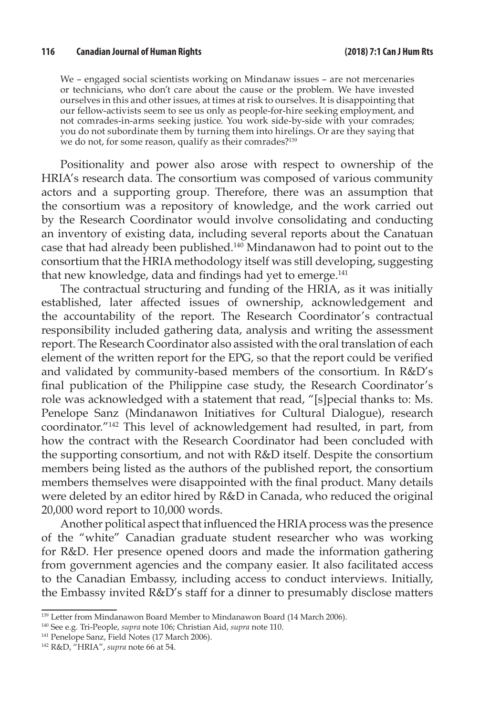We – engaged social scientists working on Mindanaw issues – are not mercenaries or technicians, who don't care about the cause or the problem. We have invested ourselves in this and other issues, at times at risk to ourselves. It is disappointing that our fellow-activists seem to see us only as people-for-hire seeking employment, and not comrades-in-arms seeking justice. You work side-by-side with your comrades; you do not subordinate them by turning them into hirelings. Or are they saying that we do not, for some reason, qualify as their comrades?<sup>139</sup>

Positionality and power also arose with respect to ownership of the HRIA's research data. The consortium was composed of various community actors and a supporting group. Therefore, there was an assumption that the consortium was a repository of knowledge, and the work carried out by the Research Coordinator would involve consolidating and conducting an inventory of existing data, including several reports about the Canatuan case that had already been published.140 Mindanawon had to point out to the consortium that the HRIA methodology itself was still developing, suggesting that new knowledge, data and findings had yet to emerge.<sup>141</sup>

The contractual structuring and funding of the HRIA, as it was initially established, later affected issues of ownership, acknowledgement and the accountability of the report. The Research Coordinator's contractual responsibility included gathering data, analysis and writing the assessment report. The Research Coordinator also assisted with the oral translation of each element of the written report for the EPG, so that the report could be verified and validated by community-based members of the consortium. In R&D's final publication of the Philippine case study, the Research Coordinator's role was acknowledged with a statement that read, "[s]pecial thanks to: Ms. Penelope Sanz (Mindanawon Initiatives for Cultural Dialogue), research coordinator."142 This level of acknowledgement had resulted, in part, from how the contract with the Research Coordinator had been concluded with the supporting consortium, and not with R&D itself. Despite the consortium members being listed as the authors of the published report, the consortium members themselves were disappointed with the final product. Many details were deleted by an editor hired by R&D in Canada, who reduced the original 20,000 word report to 10,000 words.

Another political aspect that influenced the HRIA process was the presence of the "white" Canadian graduate student researcher who was working for R&D. Her presence opened doors and made the information gathering from government agencies and the company easier. It also facilitated access to the Canadian Embassy, including access to conduct interviews. Initially, the Embassy invited R&D's staff for a dinner to presumably disclose matters

<sup>&</sup>lt;sup>139</sup> Letter from Mindanawon Board Member to Mindanawon Board (14 March 2006).

<sup>140</sup> See e.g. Tri-People, *supra* note 106; Christian Aid, *supra* note 110.

<sup>141</sup> Penelope Sanz, Field Notes (17 March 2006).

<sup>142</sup> R&D, "HRIA", *supra* note 66 at 54.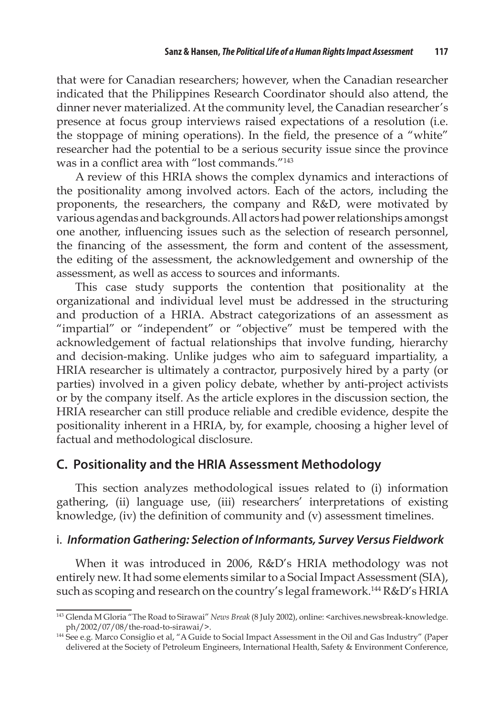that were for Canadian researchers; however, when the Canadian researcher indicated that the Philippines Research Coordinator should also attend, the dinner never materialized. At the community level, the Canadian researcher's presence at focus group interviews raised expectations of a resolution (i.e. the stoppage of mining operations). In the field, the presence of a "white" researcher had the potential to be a serious security issue since the province was in a conflict area with "lost commands."<sup>143</sup>

A review of this HRIA shows the complex dynamics and interactions of the positionality among involved actors. Each of the actors, including the proponents, the researchers, the company and R&D, were motivated by various agendas and backgrounds. All actors had power relationships amongst one another, influencing issues such as the selection of research personnel, the financing of the assessment, the form and content of the assessment, the editing of the assessment, the acknowledgement and ownership of the assessment, as well as access to sources and informants.

This case study supports the contention that positionality at the organizational and individual level must be addressed in the structuring and production of a HRIA. Abstract categorizations of an assessment as "impartial" or "independent" or "objective" must be tempered with the acknowledgement of factual relationships that involve funding, hierarchy and decision-making. Unlike judges who aim to safeguard impartiality, a HRIA researcher is ultimately a contractor, purposively hired by a party (or parties) involved in a given policy debate, whether by anti-project activists or by the company itself. As the article explores in the discussion section, the HRIA researcher can still produce reliable and credible evidence, despite the positionality inherent in a HRIA, by, for example, choosing a higher level of factual and methodological disclosure.

#### **C. Positionality and the HRIA Assessment Methodology**

This section analyzes methodological issues related to (i) information gathering, (ii) language use, (iii) researchers' interpretations of existing knowledge, (iv) the definition of community and (v) assessment timelines.

#### i. *Information Gathering: Selection of Informants, Survey Versus Fieldwork*

When it was introduced in 2006, R&D's HRIA methodology was not entirely new. It had some elements similar to a Social Impact Assessment (SIA), such as scoping and research on the country's legal framework.<sup>144</sup> R&D's HRIA

<sup>143</sup> Glenda M Gloria "The Road to Sirawai" *News Break* (8 July 2002), online: <archives.newsbreak-knowledge.

ph/2002/07/08/the-road-to-sirawai/>. 144 See e.g. Marco Consiglio et al, "A Guide to Social Impact Assessment in the Oil and Gas Industry" (Paper delivered at the Society of Petroleum Engineers, International Health, Safety & Environment Conference,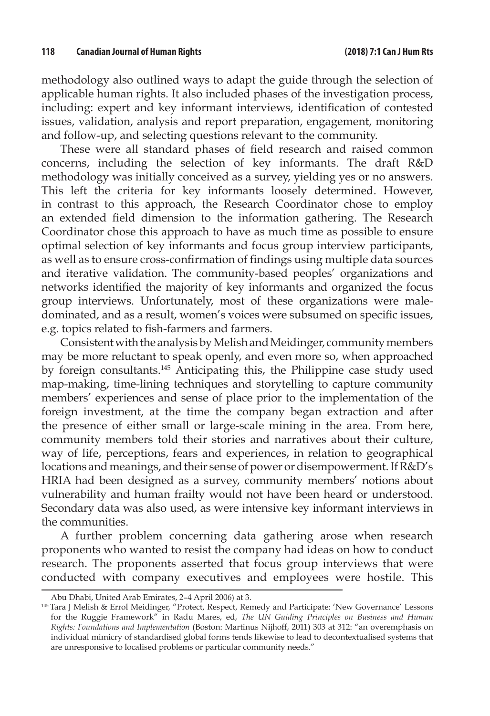methodology also outlined ways to adapt the guide through the selection of applicable human rights. It also included phases of the investigation process, including: expert and key informant interviews, identification of contested issues, validation, analysis and report preparation, engagement, monitoring and follow-up, and selecting questions relevant to the community.

These were all standard phases of field research and raised common concerns, including the selection of key informants. The draft R&D methodology was initially conceived as a survey, yielding yes or no answers. This left the criteria for key informants loosely determined. However, in contrast to this approach, the Research Coordinator chose to employ an extended field dimension to the information gathering. The Research Coordinator chose this approach to have as much time as possible to ensure optimal selection of key informants and focus group interview participants, as well as to ensure cross-confirmation of findings using multiple data sources and iterative validation. The community-based peoples' organizations and networks identified the majority of key informants and organized the focus group interviews. Unfortunately, most of these organizations were maledominated, and as a result, women's voices were subsumed on specific issues, e.g. topics related to fish-farmers and farmers.

Consistent with the analysis by Melish and Meidinger, community members may be more reluctant to speak openly, and even more so, when approached by foreign consultants.145 Anticipating this, the Philippine case study used map-making, time-lining techniques and storytelling to capture community members' experiences and sense of place prior to the implementation of the foreign investment, at the time the company began extraction and after the presence of either small or large-scale mining in the area. From here, community members told their stories and narratives about their culture, way of life, perceptions, fears and experiences, in relation to geographical locations and meanings, and their sense of power or disempowerment. If R&D's HRIA had been designed as a survey, community members' notions about vulnerability and human frailty would not have been heard or understood. Secondary data was also used, as were intensive key informant interviews in the communities.

A further problem concerning data gathering arose when research proponents who wanted to resist the company had ideas on how to conduct research. The proponents asserted that focus group interviews that were conducted with company executives and employees were hostile. This

Abu Dhabi, United Arab Emirates, 2–4 April 2006) at 3.

<sup>145</sup> Tara J Melish & Errol Meidinger, "Protect, Respect, Remedy and Participate: 'New Governance' Lessons for the Ruggie Framework" in Radu Mares, ed, *The UN Guiding Principles on Business and Human Rights: Foundations and Implementation* (Boston: Martinus Nijhoff, 2011) 303 at 312: "an overemphasis on individual mimicry of standardised global forms tends likewise to lead to decontextualised systems that are unresponsive to localised problems or particular community needs."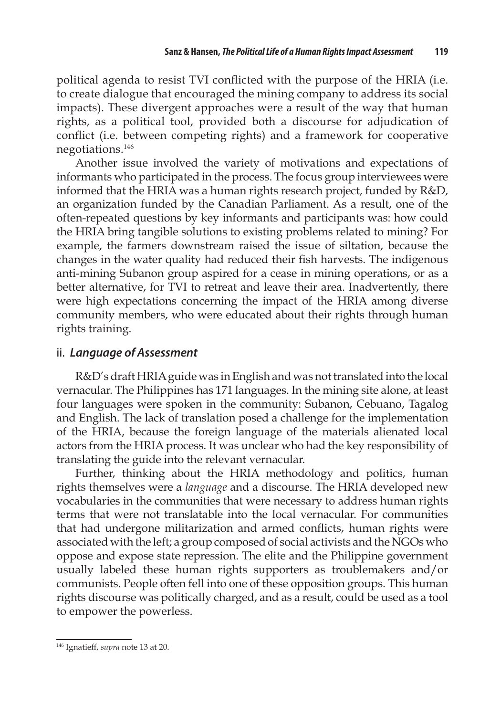political agenda to resist TVI conflicted with the purpose of the HRIA (i.e. to create dialogue that encouraged the mining company to address its social impacts). These divergent approaches were a result of the way that human rights, as a political tool, provided both a discourse for adjudication of conflict (i.e. between competing rights) and a framework for cooperative negotiations.146

Another issue involved the variety of motivations and expectations of informants who participated in the process. The focus group interviewees were informed that the HRIA was a human rights research project, funded by R&D, an organization funded by the Canadian Parliament. As a result, one of the often-repeated questions by key informants and participants was: how could the HRIA bring tangible solutions to existing problems related to mining? For example, the farmers downstream raised the issue of siltation, because the changes in the water quality had reduced their fish harvests. The indigenous anti-mining Subanon group aspired for a cease in mining operations, or as a better alternative, for TVI to retreat and leave their area. Inadvertently, there were high expectations concerning the impact of the HRIA among diverse community members, who were educated about their rights through human rights training.

#### ii. *Language of Assessment*

R&D's draft HRIA guide was in English and was not translated into the local vernacular. The Philippines has 171 languages. In the mining site alone, at least four languages were spoken in the community: Subanon, Cebuano, Tagalog and English. The lack of translation posed a challenge for the implementation of the HRIA, because the foreign language of the materials alienated local actors from the HRIA process. It was unclear who had the key responsibility of translating the guide into the relevant vernacular.

Further, thinking about the HRIA methodology and politics, human rights themselves were a *language* and a discourse. The HRIA developed new vocabularies in the communities that were necessary to address human rights terms that were not translatable into the local vernacular. For communities that had undergone militarization and armed conflicts, human rights were associated with the left; a group composed of social activists and the NGOs who oppose and expose state repression. The elite and the Philippine government usually labeled these human rights supporters as troublemakers and/or communists. People often fell into one of these opposition groups. This human rights discourse was politically charged, and as a result, could be used as a tool to empower the powerless.

<sup>146</sup> Ignatieff, *supra* note 13 at 20.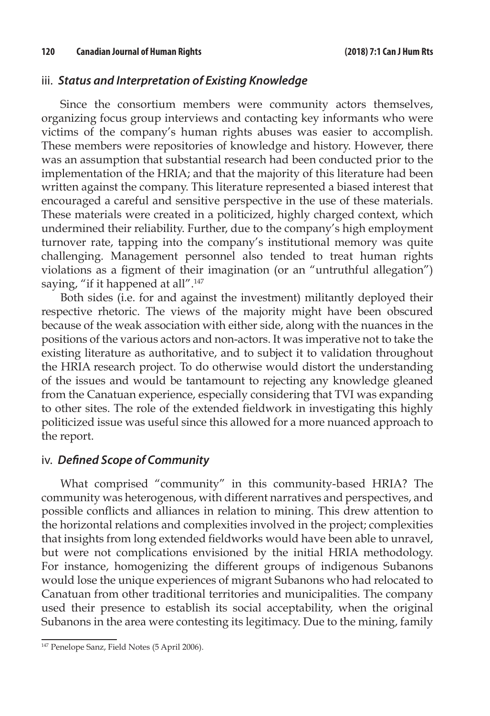#### iii. *Status and Interpretation of Existing Knowledge*

Since the consortium members were community actors themselves, organizing focus group interviews and contacting key informants who were victims of the company's human rights abuses was easier to accomplish. These members were repositories of knowledge and history. However, there was an assumption that substantial research had been conducted prior to the implementation of the HRIA; and that the majority of this literature had been written against the company. This literature represented a biased interest that encouraged a careful and sensitive perspective in the use of these materials. These materials were created in a politicized, highly charged context, which undermined their reliability. Further, due to the company's high employment turnover rate, tapping into the company's institutional memory was quite challenging. Management personnel also tended to treat human rights violations as a figment of their imagination (or an "untruthful allegation") saying, "if it happened at all".<sup>147</sup>

Both sides (i.e. for and against the investment) militantly deployed their respective rhetoric. The views of the majority might have been obscured because of the weak association with either side, along with the nuances in the positions of the various actors and non-actors. It was imperative not to take the existing literature as authoritative, and to subject it to validation throughout the HRIA research project. To do otherwise would distort the understanding of the issues and would be tantamount to rejecting any knowledge gleaned from the Canatuan experience, especially considering that TVI was expanding to other sites. The role of the extended fieldwork in investigating this highly politicized issue was useful since this allowed for a more nuanced approach to the report.

#### iv. *Defined Scope of Community*

What comprised "community" in this community-based HRIA? The community was heterogenous, with different narratives and perspectives, and possible conflicts and alliances in relation to mining. This drew attention to the horizontal relations and complexities involved in the project; complexities that insights from long extended fieldworks would have been able to unravel, but were not complications envisioned by the initial HRIA methodology. For instance, homogenizing the different groups of indigenous Subanons would lose the unique experiences of migrant Subanons who had relocated to Canatuan from other traditional territories and municipalities. The company used their presence to establish its social acceptability, when the original Subanons in the area were contesting its legitimacy. Due to the mining, family

<sup>&</sup>lt;sup>147</sup> Penelope Sanz, Field Notes (5 April 2006).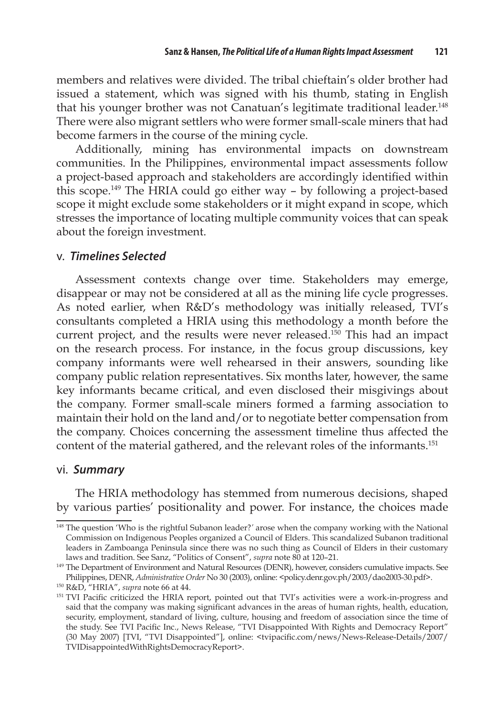members and relatives were divided. The tribal chieftain's older brother had issued a statement, which was signed with his thumb, stating in English that his younger brother was not Canatuan's legitimate traditional leader.<sup>148</sup> There were also migrant settlers who were former small-scale miners that had become farmers in the course of the mining cycle.

Additionally, mining has environmental impacts on downstream communities. In the Philippines, environmental impact assessments follow a project-based approach and stakeholders are accordingly identified within this scope.149 The HRIA could go either way – by following a project-based scope it might exclude some stakeholders or it might expand in scope, which stresses the importance of locating multiple community voices that can speak about the foreign investment.

#### v. *Timelines Selected*

Assessment contexts change over time. Stakeholders may emerge, disappear or may not be considered at all as the mining life cycle progresses. As noted earlier, when R&D's methodology was initially released, TVI's consultants completed a HRIA using this methodology a month before the current project, and the results were never released.<sup>150</sup> This had an impact on the research process. For instance, in the focus group discussions, key company informants were well rehearsed in their answers, sounding like company public relation representatives. Six months later, however, the same key informants became critical, and even disclosed their misgivings about the company. Former small-scale miners formed a farming association to maintain their hold on the land and/or to negotiate better compensation from the company. Choices concerning the assessment timeline thus affected the content of the material gathered, and the relevant roles of the informants.<sup>151</sup>

#### vi. *Summary*

The HRIA methodology has stemmed from numerous decisions, shaped by various parties' positionality and power. For instance, the choices made

<sup>148</sup> The question 'Who is the rightful Subanon leader?*'* arose when the company working with the National Commission on Indigenous Peoples organized a Council of Elders. This scandalized Subanon traditional leaders in Zamboanga Peninsula since there was no such thing as Council of Elders in their customary laws and tradition. See Sanz, "Politics of Consent", *supra* note 80 at 120–21.

<sup>&</sup>lt;sup>149</sup> The Department of Environment and Natural Resources (DENR), however, considers cumulative impacts. See Philippines, DENR, *Administrative Order* No 30 (2003), online: <policy.denr.gov.ph/2003/dao2003-30.pdf>.

<sup>150</sup> R&D, "HRIA", *supra* note 66 at 44.

<sup>&</sup>lt;sup>151</sup> TVI Pacific criticized the HRIA report, pointed out that TVI's activities were a work-in-progress and said that the company was making significant advances in the areas of human rights, health, education, security, employment, standard of living, culture, housing and freedom of association since the time of the study. See TVI Pacific Inc., News Release, "TVI Disappointed With Rights and Democracy Report" (30 May 2007) [TVI, "TVI Disappointed"], online: <tvipacific.com/news/News-Release-Details/2007/ TVIDisappointedWithRightsDemocracyReport>.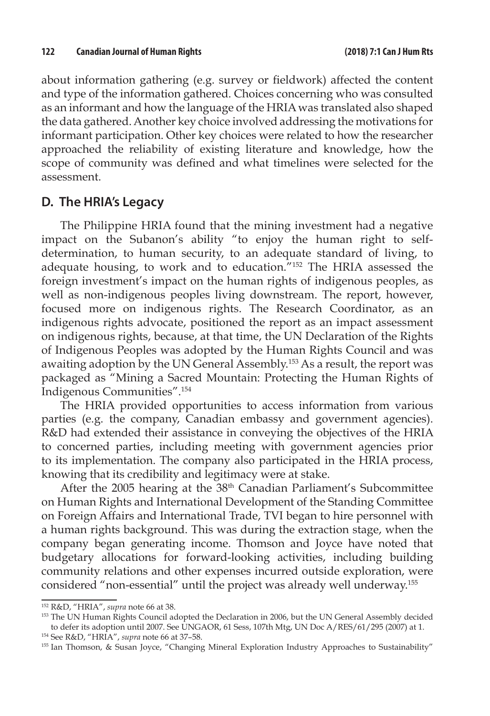about information gathering (e.g. survey or fieldwork) affected the content and type of the information gathered. Choices concerning who was consulted as an informant and how the language of the HRIA was translated also shaped the data gathered. Another key choice involved addressing the motivations for informant participation. Other key choices were related to how the researcher approached the reliability of existing literature and knowledge, how the scope of community was defined and what timelines were selected for the assessment.

#### **D. The HRIA's Legacy**

The Philippine HRIA found that the mining investment had a negative impact on the Subanon's ability "to enjoy the human right to selfdetermination, to human security, to an adequate standard of living, to adequate housing, to work and to education."152 The HRIA assessed the foreign investment's impact on the human rights of indigenous peoples, as well as non-indigenous peoples living downstream. The report, however, focused more on indigenous rights. The Research Coordinator, as an indigenous rights advocate, positioned the report as an impact assessment on indigenous rights, because, at that time, the UN Declaration of the Rights of Indigenous Peoples was adopted by the Human Rights Council and was awaiting adoption by the UN General Assembly.<sup>153</sup> As a result, the report was packaged as "Mining a Sacred Mountain: Protecting the Human Rights of Indigenous Communities".154

The HRIA provided opportunities to access information from various parties (e.g. the company, Canadian embassy and government agencies). R&D had extended their assistance in conveying the objectives of the HRIA to concerned parties, including meeting with government agencies prior to its implementation. The company also participated in the HRIA process, knowing that its credibility and legitimacy were at stake.

After the 2005 hearing at the 38<sup>th</sup> Canadian Parliament's Subcommittee on Human Rights and International Development of the Standing Committee on Foreign Affairs and International Trade, TVI began to hire personnel with a human rights background. This was during the extraction stage, when the company began generating income. Thomson and Joyce have noted that budgetary allocations for forward-looking activities, including building community relations and other expenses incurred outside exploration, were considered "non-essential" until the project was already well underway.155

<sup>152</sup> R&D, "HRIA", *supra* note 66 at 38.

<sup>&</sup>lt;sup>153</sup> The UN Human Rights Council adopted the Declaration in 2006, but the UN General Assembly decided to defer its adoption until 2007. See UNGAOR, 61 Sess, 107th Mtg, UN Doc A/RES/61/295 (2007) at 1.

<sup>&</sup>lt;sup>154</sup> See R&D, "HRIA", *supra* note 66 at 37–58.<br><sup>155</sup> Ian Thomson, & Susan Joyce, "Changing Mineral Exploration Industry Approaches to Sustainability"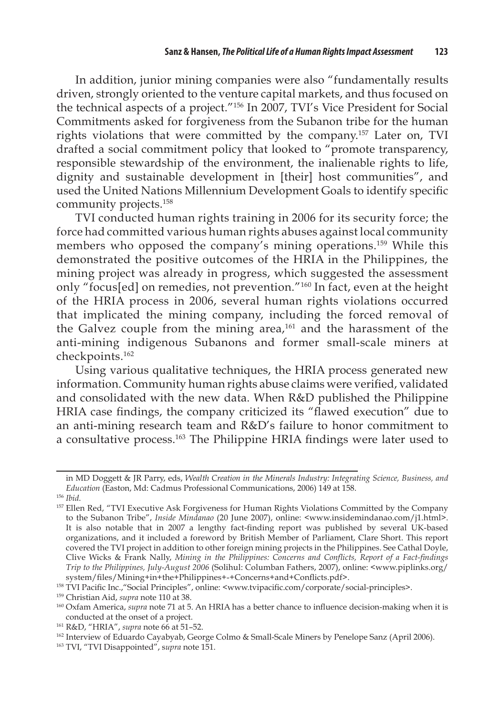In addition, junior mining companies were also "fundamentally results driven, strongly oriented to the venture capital markets, and thus focused on the technical aspects of a project."156 In 2007, TVI's Vice President for Social Commitments asked for forgiveness from the Subanon tribe for the human rights violations that were committed by the company.157 Later on, TVI drafted a social commitment policy that looked to "promote transparency, responsible stewardship of the environment, the inalienable rights to life, dignity and sustainable development in [their] host communities", and used the United Nations Millennium Development Goals to identify specific community projects.158

TVI conducted human rights training in 2006 for its security force; the force had committed various human rights abuses against local community members who opposed the company's mining operations.159 While this demonstrated the positive outcomes of the HRIA in the Philippines, the mining project was already in progress, which suggested the assessment only "focus[ed] on remedies, not prevention."160 In fact, even at the height of the HRIA process in 2006, several human rights violations occurred that implicated the mining company, including the forced removal of the Galvez couple from the mining area, $161$  and the harassment of the anti-mining indigenous Subanons and former small-scale miners at checkpoints.162

Using various qualitative techniques, the HRIA process generated new information. Community human rights abuse claims were verified, validated and consolidated with the new data. When R&D published the Philippine HRIA case findings, the company criticized its "flawed execution" due to an anti-mining research team and R&D's failure to honor commitment to a consultative process.163 The Philippine HRIA findings were later used to

in MD Doggett & JR Parry, eds, *Wealth Creation in the Minerals Industry: Integrating Science, Business, and Education* (Easton, Md: Cadmus Professional Communications, 2006) 149 at 158. 156 *Ibid*.

<sup>&</sup>lt;sup>157</sup> Ellen Red, "TVI Executive Ask Forgiveness for Human Rights Violations Committed by the Company to the Subanon Tribe", *Inside Mindanao* (20 June 2007), online: <www.insidemindanao.com/j1.html>. It is also notable that in 2007 a lengthy fact-finding report was published by several UK-based organizations, and it included a foreword by British Member of Parliament, Clare Short. This report covered the TVI project in addition to other foreign mining projects in the Philippines. See Cathal Doyle, Clive Wicks & Frank Nally, *Mining in the Philippines: Concerns and Conflicts, Report of a Fact-findings Trip to the Philippines, July-August 2006* (Solihul: Columban Fathers, 2007), online: <www.piplinks.org/ system/files/Mining+in+the+Philippines+-+Concerns+and+Conflicts.pdf>.

<sup>158</sup> TVI Pacific Inc.,"Social Principles", online: <www.tvipacific.com/corporate/social-principles>.

<sup>159</sup> Christian Aid, *supra* note 110 at 38.

<sup>160</sup> Oxfam America, *supra* note 71 at 5. An HRIA has a better chance to influence decision-making when it is conducted at the onset of a project.

<sup>161</sup> R&D, "HRIA", *supra* note 66 at 51–52.

<sup>&</sup>lt;sup>162</sup> Interview of Eduardo Cayabyab, George Colmo & Small-Scale Miners by Penelope Sanz (April 2006).

<sup>163</sup> TVI, "TVI Disappointed", s*upra* note 151.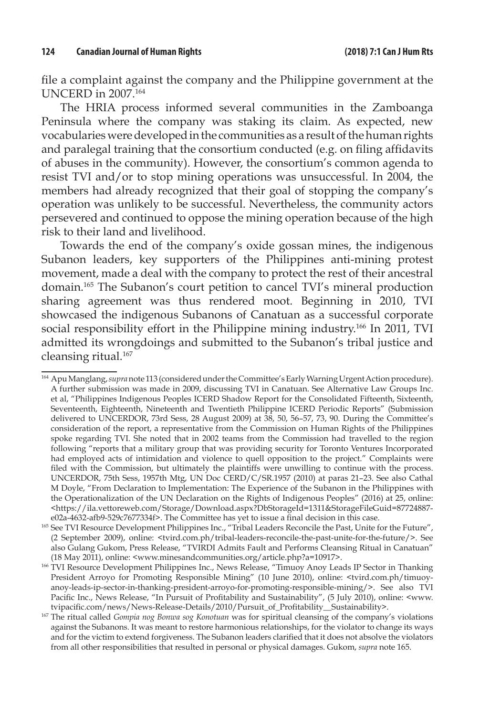file a complaint against the company and the Philippine government at the UNCERD in 2007.164

The HRIA process informed several communities in the Zamboanga Peninsula where the company was staking its claim. As expected, new vocabularies were developed in the communities as a result of the human rights and paralegal training that the consortium conducted (e.g. on filing affidavits of abuses in the community). However, the consortium's common agenda to resist TVI and/or to stop mining operations was unsuccessful. In 2004, the members had already recognized that their goal of stopping the company's operation was unlikely to be successful. Nevertheless, the community actors persevered and continued to oppose the mining operation because of the high risk to their land and livelihood.

Towards the end of the company's oxide gossan mines, the indigenous Subanon leaders, key supporters of the Philippines anti-mining protest movement, made a deal with the company to protect the rest of their ancestral domain.165 The Subanon's court petition to cancel TVI's mineral production sharing agreement was thus rendered moot. Beginning in 2010, TVI showcased the indigenous Subanons of Canatuan as a successful corporate social responsibility effort in the Philippine mining industry.166 In 2011, TVI admitted its wrongdoings and submitted to the Subanon's tribal justice and cleansing ritual.<sup>167</sup>

<sup>166</sup> TVI Resource Development Philippines Inc., News Release, "Timuoy Anoy Leads IP Sector in Thanking President Arroyo for Promoting Responsible Mining" (10 June 2010), online: <tvird.com.ph/timuoyanoy-leads-ip-sector-in-thanking-president-arroyo-for-promoting-responsible-mining/>. See also TVI Pacific Inc., News Release, "In Pursuit of Profitability and Sustainability", (5 July 2010), online: <www. tvipacific.com/news/News-Release-Details/2010/Pursuit\_of\_Profitability\_\_Sustainability>.

<sup>164</sup> Apu Manglang, *supra* note 113 (considered under the Committee's Early Warning Urgent Action procedure). A further submission was made in 2009, discussing TVI in Canatuan. See Alternative Law Groups Inc. et al, "Philippines Indigenous Peoples ICERD Shadow Report for the Consolidated Fifteenth, Sixteenth, Seventeenth, Eighteenth, Nineteenth and Twentieth Philippine ICERD Periodic Reports" (Submission delivered to UNCERDOR, 73rd Sess, 28 August 2009) at 38, 50, 56–57, 73, 90. During the Committee's consideration of the report, a representative from the Commission on Human Rights of the Philippines spoke regarding TVI. She noted that in 2002 teams from the Commission had travelled to the region following "reports that a military group that was providing security for Toronto Ventures Incorporated had employed acts of intimidation and violence to quell opposition to the project." Complaints were filed with the Commission, but ultimately the plaintiffs were unwilling to continue with the process. UNCERDOR, 75th Sess, 1957th Mtg, UN Doc CERD/C/SR.1957 (2010) at paras 21–23. See also Cathal M Doyle, "From Declaration to Implementation: The Experience of the Subanon in the Philippines with the Operationalization of the UN Declaration on the Rights of Indigenous Peoples" (2016) at 25, online: <https://ila.vettoreweb.com/Storage/Download.aspx?DbStorageId=1311&StorageFileGuid=87724887 e02a-4632-afb9-529c7677334f>. The Committee has yet to issue a final decision in this case.

<sup>165</sup> See TVI Resource Development Philippines Inc., "Tribal Leaders Reconcile the Past, Unite for the Future", (2 September 2009), online: <tvird.com.ph/tribal-leaders-reconcile-the-past-unite-for-the-future/>. See also Gulang Gukom, Press Release, "TVIRDI Admits Fault and Performs Cleansing Ritual in Canatuan" (18 May 2011), online: <www.minesandcommunities.org/article.php?a=10917>.

<sup>167</sup> The ritual called *Gompia nog Bonwa sog Konotuan* was for spiritual cleansing of the company's violations against the Subanons. It was meant to restore harmonious relationships, for the violator to change its ways and for the victim to extend forgiveness. The Subanon leaders clarified that it does not absolve the violators from all other responsibilities that resulted in personal or physical damages. Gukom, *supra* note 165.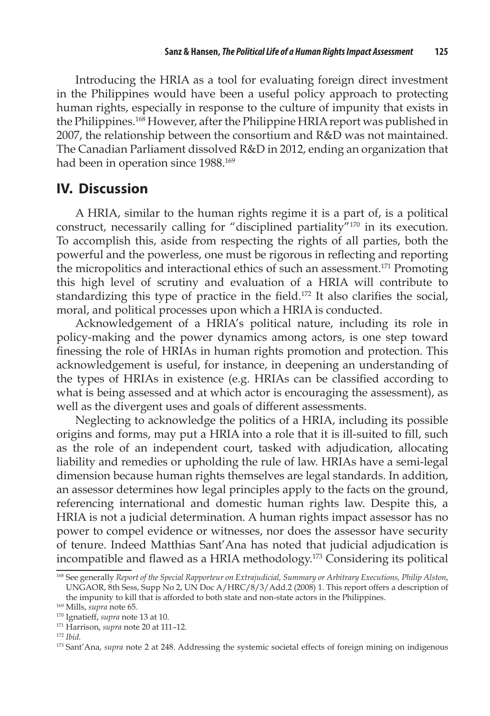Introducing the HRIA as a tool for evaluating foreign direct investment in the Philippines would have been a useful policy approach to protecting human rights, especially in response to the culture of impunity that exists in the Philippines.<sup>168</sup> However, after the Philippine HRIA report was published in 2007, the relationship between the consortium and R&D was not maintained. The Canadian Parliament dissolved R&D in 2012, ending an organization that had been in operation since 1988.<sup>169</sup>

# **IV. Discussion**

A HRIA, similar to the human rights regime it is a part of, is a political construct, necessarily calling for "disciplined partiality"170 in its execution. To accomplish this, aside from respecting the rights of all parties, both the powerful and the powerless, one must be rigorous in reflecting and reporting the micropolitics and interactional ethics of such an assessment.171 Promoting this high level of scrutiny and evaluation of a HRIA will contribute to standardizing this type of practice in the field.<sup>172</sup> It also clarifies the social, moral, and political processes upon which a HRIA is conducted.

Acknowledgement of a HRIA's political nature, including its role in policy-making and the power dynamics among actors, is one step toward finessing the role of HRIAs in human rights promotion and protection. This acknowledgement is useful, for instance, in deepening an understanding of the types of HRIAs in existence (e.g. HRIAs can be classified according to what is being assessed and at which actor is encouraging the assessment), as well as the divergent uses and goals of different assessments.

Neglecting to acknowledge the politics of a HRIA, including its possible origins and forms, may put a HRIA into a role that it is ill-suited to fill, such as the role of an independent court, tasked with adjudication, allocating liability and remedies or upholding the rule of law. HRIAs have a semi-legal dimension because human rights themselves are legal standards. In addition, an assessor determines how legal principles apply to the facts on the ground, referencing international and domestic human rights law. Despite this, a HRIA is not a judicial determination. A human rights impact assessor has no power to compel evidence or witnesses, nor does the assessor have security of tenure. Indeed Matthias Sant'Ana has noted that judicial adjudication is incompatible and flawed as a HRIA methodology.<sup>173</sup> Considering its political

<sup>168</sup> See generally *Report of the Special Rapporteur on Extrajudicial, Summary or Arbitrary Executions, Philip Alston*, UNGAOR, 8th Sess, Supp No 2, UN Doc A/HRC/8/3/Add.2 (2008) 1. This report offers a description of the impunity to kill that is afforded to both state and non-state actors in the Philippines. 169 Mills, *supra* note 65.

<sup>170</sup> Ignatieff, *supra* note 13 at 10. 171 Harrison, *supra* note 20 at 111–12.

<sup>172</sup> *Ibid.*

<sup>173</sup> Sant'Ana, *supra* note 2 at 248. Addressing the systemic societal effects of foreign mining on indigenous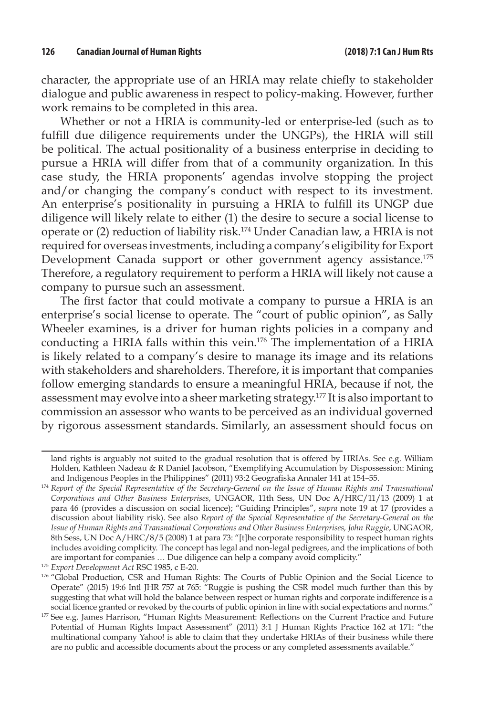character, the appropriate use of an HRIA may relate chiefly to stakeholder dialogue and public awareness in respect to policy-making. However, further work remains to be completed in this area.

Whether or not a HRIA is community-led or enterprise-led (such as to fulfill due diligence requirements under the UNGPs), the HRIA will still be political. The actual positionality of a business enterprise in deciding to pursue a HRIA will differ from that of a community organization. In this case study, the HRIA proponents' agendas involve stopping the project and/or changing the company's conduct with respect to its investment. An enterprise's positionality in pursuing a HRIA to fulfill its UNGP due diligence will likely relate to either (1) the desire to secure a social license to operate or (2) reduction of liability risk.174 Under Canadian law, a HRIA is not required for overseas investments, including a company's eligibility for Export Development Canada support or other government agency assistance.<sup>175</sup> Therefore, a regulatory requirement to perform a HRIA will likely not cause a company to pursue such an assessment.

The first factor that could motivate a company to pursue a HRIA is an enterprise's social license to operate. The "court of public opinion", as Sally Wheeler examines, is a driver for human rights policies in a company and conducting a HRIA falls within this vein.176 The implementation of a HRIA is likely related to a company's desire to manage its image and its relations with stakeholders and shareholders. Therefore, it is important that companies follow emerging standards to ensure a meaningful HRIA, because if not, the assessment may evolve into a sheer marketing strategy.177 It is also important to commission an assessor who wants to be perceived as an individual governed by rigorous assessment standards. Similarly, an assessment should focus on

<sup>175</sup> *Export Development Act* RSC 1985, c E-20.

land rights is arguably not suited to the gradual resolution that is offered by HRIAs. See e.g. William Holden, Kathleen Nadeau & R Daniel Jacobson, "Exemplifying Accumulation by Dispossession: Mining and Indigenous Peoples in the Philippines" (2011) 93:2 Geografiska Annaler 141 at 154–55.

<sup>&</sup>lt;sup>174</sup> Report of the Special Representative of the Secretary-General on the Issue of Human Rights and Transnational *Corporations and Other Business Enterprises*, UNGAOR, 11th Sess, UN Doc A/HRC/11/13 (2009) 1 at para 46 (provides a discussion on social licence); "Guiding Principles", *supra* note 19 at 17 (provides a discussion about liability risk). See also *Report of the Special Representative of the Secretary-General on the Issue of Human Rights and Transnational Corporations and Other Business Enterprises, John Ruggie*, UNGAOR, 8th Sess, UN Doc A/HRC/8/5 (2008) 1 at para 73: "[t]he corporate responsibility to respect human rights includes avoiding complicity. The concept has legal and non-legal pedigrees, and the implications of both are important for companies … Due diligence can help a company avoid complicity."

<sup>176 &</sup>quot;Global Production, CSR and Human Rights: The Courts of Public Opinion and the Social Licence to Operate" (2015) 19:6 Intl JHR 757 at 765: "Ruggie is pushing the CSR model much further than this by suggesting that what will hold the balance between respect or human rights and corporate indifference is a social licence granted or revoked by the courts of public opinion in line with social expectations and norms."

<sup>&</sup>lt;sup>177</sup> See e.g. James Harrison, "Human Rights Measurement: Reflections on the Current Practice and Future Potential of Human Rights Impact Assessment" (2011) 3:1 J Human Rights Practice 162 at 171: "the multinational company Yahoo! is able to claim that they undertake HRIAs of their business while there are no public and accessible documents about the process or any completed assessments available."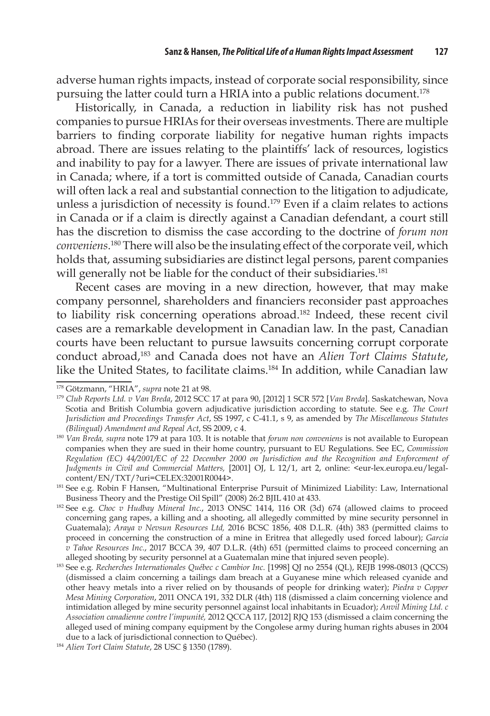adverse human rights impacts, instead of corporate social responsibility, since pursuing the latter could turn a HRIA into a public relations document.<sup>178</sup>

Historically, in Canada, a reduction in liability risk has not pushed companies to pursue HRIAs for their overseas investments. There are multiple barriers to finding corporate liability for negative human rights impacts abroad. There are issues relating to the plaintiffs' lack of resources, logistics and inability to pay for a lawyer. There are issues of private international law in Canada; where, if a tort is committed outside of Canada, Canadian courts will often lack a real and substantial connection to the litigation to adjudicate, unless a jurisdiction of necessity is found.179 Even if a claim relates to actions in Canada or if a claim is directly against a Canadian defendant, a court still has the discretion to dismiss the case according to the doctrine of *forum non conveniens*. 180 There will also be the insulating effect of the corporate veil, which holds that, assuming subsidiaries are distinct legal persons, parent companies will generally not be liable for the conduct of their subsidiaries.<sup>181</sup>

Recent cases are moving in a new direction, however, that may make company personnel, shareholders and financiers reconsider past approaches to liability risk concerning operations abroad.<sup>182</sup> Indeed, these recent civil cases are a remarkable development in Canadian law. In the past, Canadian courts have been reluctant to pursue lawsuits concerning corrupt corporate conduct abroad,183 and Canada does not have an *Alien Tort Claims Statute*, like the United States, to facilitate claims.<sup>184</sup> In addition, while Canadian law

<sup>178</sup> Götzmann, "HRIA", *supra* note 21 at 98.

<sup>179</sup> *Club Reports Ltd. v Van Breda*, 2012 SCC 17 at para 90, [2012] 1 SCR 572 [*Van Breda*]. Saskatchewan, Nova Scotia and British Columbia govern adjudicative jurisdiction according to statute. See e.g. *The Court Jurisdiction and Proceedings Transfer Act*, SS 1997, c C-41.1, s 9, as amended by *The Miscellaneous Statutes* 

<sup>&</sup>lt;sup>180</sup> Van Breda, supra note 179 at para 103. It is notable that *forum non conveniens* is not available to European companies when they are sued in their home country, pursuant to EU Regulations. See EC, *Commission Regulation (EC) 44/2001/EC of 22 December 2000 on Jurisdiction and the Recognition and Enforcement of Judgments in Civil and Commercial Matters,* [2001] OJ, L 12/1, art 2, online: <eur-lex.europa.eu/legalcontent/EN/TXT/?uri=CELEX:32001R0044>.

<sup>181</sup> See e.g. Robin F Hansen, "Multinational Enterprise Pursuit of Minimized Liability: Law, International Business Theory and the Prestige Oil Spill" (2008) 26:2 BJIL 410 at 433.

<sup>182</sup> See e.g. *Choc v Hudbay Mineral Inc.*, 2013 ONSC 1414, 116 OR (3d) 674 (allowed claims to proceed concerning gang rapes, a killing and a shooting, all allegedly committed by mine security personnel in Guatemala); *Araya v Nevsun Resources Ltd,* 2016 BCSC 1856, 408 D.L.R. (4th) 383 (permitted claims to proceed in concerning the construction of a mine in Eritrea that allegedly used forced labour); *Garcia v Tahoe Resources Inc.*, 2017 BCCA 39, 407 D.L.R. (4th) 651 (permitted claims to proceed concerning an

alleged shooting by security personnel at a Guatemalan mine that injured seven people). 183 See e.g. *Recherches Internationales Québec c Cambior Inc.* [1998] QJ no 2554 (QL), REJB 1998-08013 (QCCS) (dismissed a claim concerning a tailings dam breach at a Guyanese mine which released cyanide and other heavy metals into a river relied on by thousands of people for drinking water); *Piedra v Copper Mesa Mining Corporation*, 2011 ONCA 191, 332 DLR (4th) 118 (dismissed a claim concerning violence and intimidation alleged by mine security personnel against local inhabitants in Ecuador); *Anvil Mining Ltd. c Association canadienne contre l'impunité,* 2012 QCCA 117, [2012] RJQ 153 (dismissed a claim concerning the alleged used of mining company equipment by the Congolese army during human rights abuses in 2004 due to a lack of jurisdictional connection to Québec). 184 *Alien Tort Claim Statute*, 28 USC § 1350 (1789).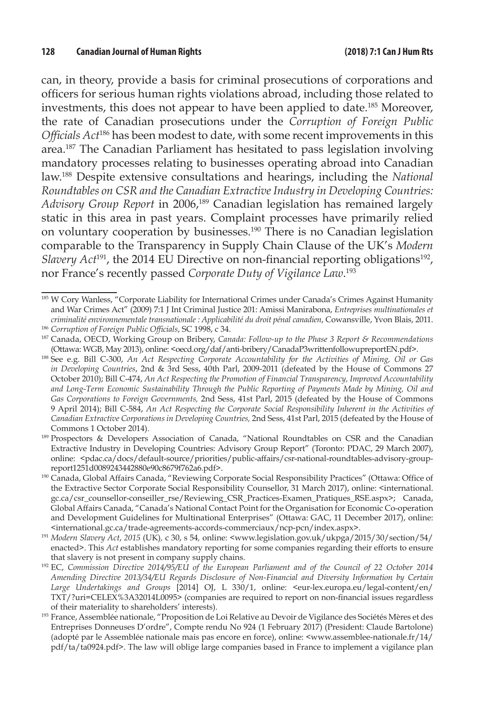can, in theory, provide a basis for criminal prosecutions of corporations and officers for serious human rights violations abroad, including those related to investments, this does not appear to have been applied to date.185 Moreover, the rate of Canadian prosecutions under the *Corruption of Foreign Public Officials Act*186 has been modest to date, with some recent improvements in this area.187 The Canadian Parliament has hesitated to pass legislation involving mandatory processes relating to businesses operating abroad into Canadian law.188 Despite extensive consultations and hearings, including the *National Roundtables on CSR and the Canadian Extractive Industry in Developing Countries: Advisory Group Report* in 2006,189 Canadian legislation has remained largely static in this area in past years. Complaint processes have primarily relied on voluntary cooperation by businesses.190 There is no Canadian legislation comparable to the Transparency in Supply Chain Clause of the UK's *Modern Slavery Act*<sup>191</sup>, the 2014 EU Directive on non-financial reporting obligations<sup>192</sup>, nor France's recently passed *Corporate Duty of Vigilance Law*. 193

<sup>185</sup> W Cory Wanless, "Corporate Liability for International Crimes under Canada's Crimes Against Humanity and War Crimes Act" (2009) 7:1 J Int Criminal Justice 201: Amissi Manirabona, *Entreprises multinationales et criminalité environnementale transnationale : Applicabilité du droit pénal canadien*, Cowansville, Yvon Blais, 2011. 186 *Corruption of Foreign Public Officials*, SC 1998, c 34.

<sup>187</sup> Canada, OECD, Working Group on Bribery, *Canada: Follow-up to the Phase 3 Report & Recommendations* (Ottawa: WGB, May 2013), online: <oecd.org/daf/anti-bribery/CanadaP3writtenfollowupreportEN.pdf>.

<sup>188</sup> See e.g. Bill C-300, *An Act Respecting Corporate Accountability for the Activities of Mining, Oil or Gas in Developing Countries*, 2nd & 3rd Sess, 40th Parl, 2009-2011 (defeated by the House of Commons 27 October 2010); Bill C-474, *An Act Respecting the Promotion of Financial Transparency, Improved Accountability and Long-Term Economic Sustainability Through the Public Reporting of Payments Made by Mining, Oil and Gas Corporations to Foreign Governments,* 2nd Sess, 41st Parl, 2015 (defeated by the House of Commons 9 April 2014); Bill C-584, *An Act Respecting the Corporate Social Responsibility Inherent in the Activities of Canadian Extractive Corporations in Developing Countries,* 2nd Sess, 41st Parl, 2015 (defeated by the House of Commons 1 October 2014). 189 Prospectors & Developers Association of Canada, "National Roundtables on CSR and the Canadian

Extractive Industry in Developing Countries: Advisory Group Report" (Toronto: PDAC, 29 March 2007), online: <pdac.ca/docs/default-source/priorities/public-affairs/csr-national-roundtables-advisory-groupreport1251d0089243442880e90c8679f762a6.pdf>.

<sup>190</sup> Canada, Global Affairs Canada, "Reviewing Corporate Social Responsibility Practices" (Ottawa: Office of the Extractive Sector Corporate Social Responsibility Counsellor, 31 March 2017), online: <international. gc.ca/csr\_counsellor-conseiller\_rse/Reviewing\_CSR\_Practices-Examen\_Pratiques\_RSE.aspx>; Canada, Global Affairs Canada, "Canada's National Contact Point for the Organisation for Economic Co-operation and Development Guidelines for Multinational Enterprises" (Ottawa: GAC, 11 December 2017), online: <international.gc.ca/trade-agreements-accords-commerciaux/ncp-pcn/index.aspx>.

<sup>191</sup> *Modern Slavery Act*, *2015* (UK)*,* c 30, s 54*,* online: <www.legislation.gov.uk/ukpga/2015/30/section/54/ enacted>. This *Act* establishes mandatory reporting for some companies regarding their efforts to ensure

that slavery is not present in company supply chains. 192 EC, *Commission Directive 2014/95/EU of the European Parliament and of the Council of 22 October 2014 Amending Directive 2013/34/EU Regards Disclosure of Non-Financial and Diversity Information by Certain Large Undertakings and Groups* [2014] OJ, L 330/1, online: <eur-lex.europa.eu/legal-content/en/ TXT/?uri=CELEX%3A32014L0095> (companies are required to report on non-financial issues regardless of their materiality to shareholders' interests).

<sup>193</sup> France, Assemblée nationale, "Proposition de Loi Relative au Devoir de Vigilance des Sociétés Mères et des Entreprises Donneuses D'ordre", Compte rendu No 924 (1 February 2017) (President: Claude Bartolone) (adopté par le Assemblée nationale mais pas encore en force), online: <www.assemblee-nationale.fr/14/ pdf/ta/ta0924.pdf>. The law will oblige large companies based in France to implement a vigilance plan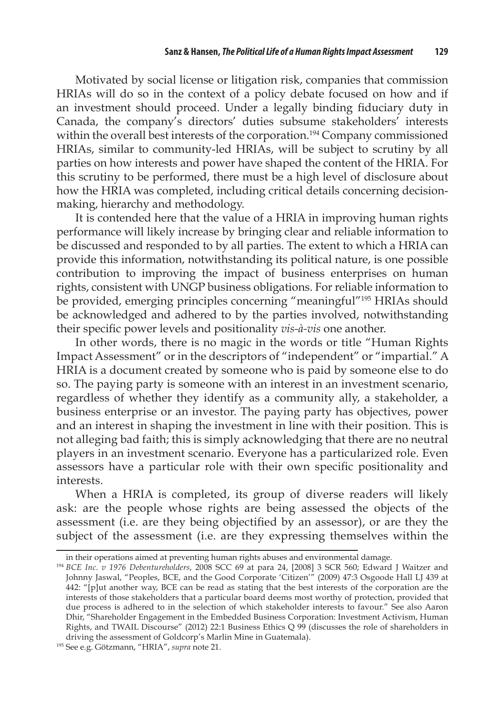Motivated by social license or litigation risk, companies that commission HRIAs will do so in the context of a policy debate focused on how and if an investment should proceed. Under a legally binding fiduciary duty in Canada, the company's directors' duties subsume stakeholders' interests within the overall best interests of the corporation.<sup>194</sup> Company commissioned HRIAs, similar to community-led HRIAs, will be subject to scrutiny by all parties on how interests and power have shaped the content of the HRIA. For this scrutiny to be performed, there must be a high level of disclosure about how the HRIA was completed, including critical details concerning decisionmaking, hierarchy and methodology.

It is contended here that the value of a HRIA in improving human rights performance will likely increase by bringing clear and reliable information to be discussed and responded to by all parties. The extent to which a HRIA can provide this information, notwithstanding its political nature, is one possible contribution to improving the impact of business enterprises on human rights, consistent with UNGP business obligations. For reliable information to be provided, emerging principles concerning "meaningful"195 HRIAs should be acknowledged and adhered to by the parties involved, notwithstanding their specific power levels and positionality *vis-à-vis* one another.

In other words, there is no magic in the words or title "Human Rights Impact Assessment" or in the descriptors of "independent" or "impartial." A HRIA is a document created by someone who is paid by someone else to do so. The paying party is someone with an interest in an investment scenario, regardless of whether they identify as a community ally, a stakeholder, a business enterprise or an investor. The paying party has objectives, power and an interest in shaping the investment in line with their position. This is not alleging bad faith; this is simply acknowledging that there are no neutral players in an investment scenario. Everyone has a particularized role. Even assessors have a particular role with their own specific positionality and interests.

When a HRIA is completed, its group of diverse readers will likely ask: are the people whose rights are being assessed the objects of the assessment (i.e. are they being objectified by an assessor), or are they the subject of the assessment (i.e. are they expressing themselves within the

in their operations aimed at preventing human rights abuses and environmental damage.

<sup>194</sup> *BCE Inc. v 1976 Debentureholders*, 2008 SCC 69 at para 24, [2008] 3 SCR 560; Edward J Waitzer and Johnny Jaswal, "Peoples, BCE, and the Good Corporate 'Citizen'" (2009) 47:3 Osgoode Hall LJ 439 at 442: "[p]ut another way, BCE can be read as stating that the best interests of the corporation are the interests of those stakeholders that a particular board deems most worthy of protection, provided that due process is adhered to in the selection of which stakeholder interests to favour." See also Aaron Dhir, "Shareholder Engagement in the Embedded Business Corporation: Investment Activism, Human Rights, and TWAIL Discourse" (2012) 22:1 Business Ethics Q 99 (discusses the role of shareholders in driving the assessment of Goldcorp's Marlin Mine in Guatemala). 195 See e.g. Götzmann, "HRIA", *supra* note 21.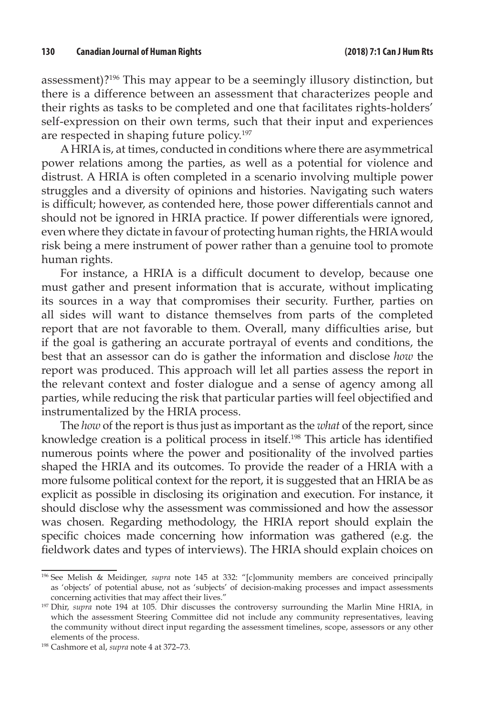assessment)?196 This may appear to be a seemingly illusory distinction, but there is a difference between an assessment that characterizes people and their rights as tasks to be completed and one that facilitates rights-holders' self-expression on their own terms, such that their input and experiences are respected in shaping future policy.<sup>197</sup>

A HRIA is, at times, conducted in conditions where there are asymmetrical power relations among the parties, as well as a potential for violence and distrust. A HRIA is often completed in a scenario involving multiple power struggles and a diversity of opinions and histories. Navigating such waters is difficult; however, as contended here, those power differentials cannot and should not be ignored in HRIA practice. If power differentials were ignored, even where they dictate in favour of protecting human rights, the HRIA would risk being a mere instrument of power rather than a genuine tool to promote human rights.

For instance, a HRIA is a difficult document to develop, because one must gather and present information that is accurate, without implicating its sources in a way that compromises their security. Further, parties on all sides will want to distance themselves from parts of the completed report that are not favorable to them. Overall, many difficulties arise, but if the goal is gathering an accurate portrayal of events and conditions, the best that an assessor can do is gather the information and disclose *how* the report was produced. This approach will let all parties assess the report in the relevant context and foster dialogue and a sense of agency among all parties, while reducing the risk that particular parties will feel objectified and instrumentalized by the HRIA process.

The *how* of the report is thus just as important as the *what* of the report, since knowledge creation is a political process in itself.198 This article has identified numerous points where the power and positionality of the involved parties shaped the HRIA and its outcomes. To provide the reader of a HRIA with a more fulsome political context for the report, it is suggested that an HRIA be as explicit as possible in disclosing its origination and execution. For instance, it should disclose why the assessment was commissioned and how the assessor was chosen. Regarding methodology, the HRIA report should explain the specific choices made concerning how information was gathered (e.g. the fieldwork dates and types of interviews). The HRIA should explain choices on

<sup>196</sup> See Melish & Meidinger, *supra* note 145 at 332: "[c]ommunity members are conceived principally as 'objects' of potential abuse, not as 'subjects' of decision-making processes and impact assessments concerning activities that may affect their lives."

<sup>197</sup> Dhir, *supra* note 194 at 105. Dhir discusses the controversy surrounding the Marlin Mine HRIA, in which the assessment Steering Committee did not include any community representatives, leaving the community without direct input regarding the assessment timelines, scope, assessors or any other elements of the process. 198 Cashmore et al, *supra* note 4 at 372–73.